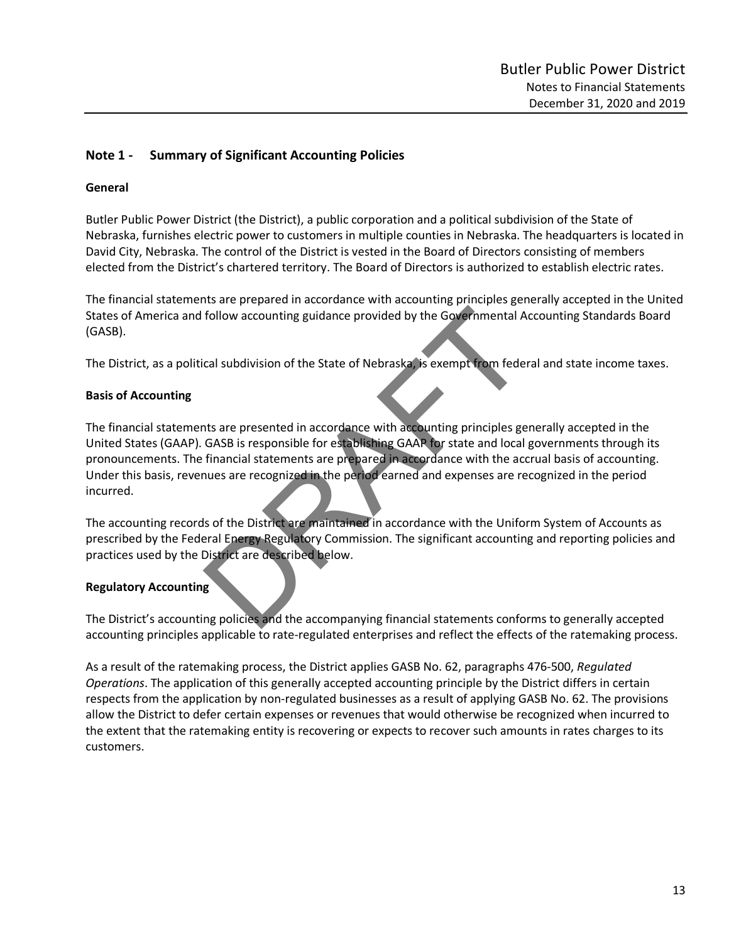## **Note 1 - Summary of Significant Accounting Policies**

### **General**

Butler Public Power District (the District), a public corporation and a political subdivision of the State of Nebraska, furnishes electric power to customers in multiple counties in Nebraska. The headquarters is located in David City, Nebraska. The control of the District is vested in the Board of Directors consisting of members elected from the District's chartered territory. The Board of Directors is authorized to establish electric rates.

The financial statements are prepared in accordance with accounting principles generally accepted in the United States of America and follow accounting guidance provided by the Governmental Accounting Standards Board (GASB).

The District, as a political subdivision of the State of Nebraska, is exempt from federal and state income taxes.

### **Basis of Accounting**

The financial statements are presented in accordance with accounting principles generally accepted in the United States (GAAP). GASB is responsible for establishing GAAP for state and local governments through its pronouncements. The financial statements are prepared in accordance with the accrual basis of accounting. Under this basis, revenues are recognized in the period earned and expenses are recognized in the period incurred. Follow accounting guidance provided by the Governmental A<br>cal subdivision of the State of Nebraska, is exempt from fede<br>that cal subdivision of the State of Nebraska, is exempt from fede<br>that call subdivision of the State

The accounting records of the District are maintained in accordance with the Uniform System of Accounts as prescribed by the Federal Energy Regulatory Commission. The significant accounting and reporting policies and practices used by the District are described below.

## **Regulatory Accounting**

The District's accounting policies and the accompanying financial statements conforms to generally accepted accounting principles applicable to rate-regulated enterprises and reflect the effects of the ratemaking process.

As a result of the ratemaking process, the District applies GASB No. 62, paragraphs 476-500, *Regulated Operations*. The application of this generally accepted accounting principle by the District differs in certain respects from the application by non-regulated businesses as a result of applying GASB No. 62. The provisions allow the District to defer certain expenses or revenues that would otherwise be recognized when incurred to the extent that the ratemaking entity is recovering or expects to recover such amounts in rates charges to its customers.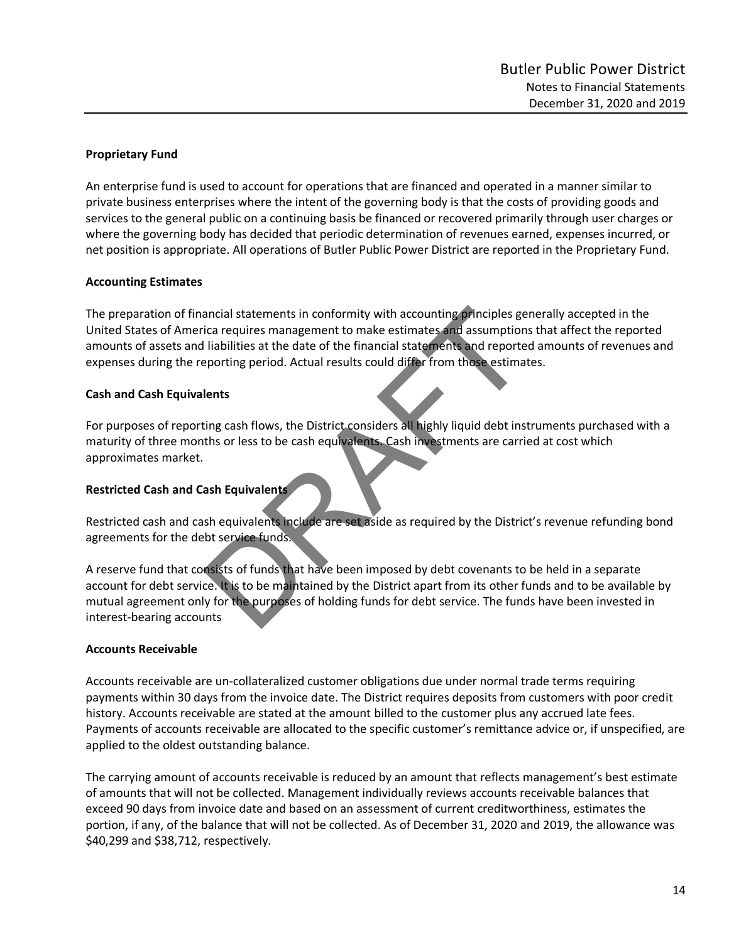## **Proprietary Fund**

An enterprise fund is used to account for operations that are financed and operated in a manner similar to private business enterprises where the intent of the governing body is that the costs of providing goods and services to the general public on a continuing basis be financed or recovered primarily through user charges or where the governing body has decided that periodic determination of revenues earned, expenses incurred, or net position is appropriate. All operations of Butler Public Power District are reported in the Proprietary Fund.

## **Accounting Estimates**

The preparation of financial statements in conformity with accounting principles generally accepted in the United States of America requires management to make estimates and assumptions that affect the reported amounts of assets and liabilities at the date of the financial statements and reported amounts of revenues and expenses during the reporting period. Actual results could differ from those estimates. ancial statements in conformity with accounting principles get the requires management to make estimates and assumption liabilities at the date of the financial statements and reported proporting period. Actual results cou

## **Cash and Cash Equivalents**

For purposes of reporting cash flows, the District considers all highly liquid debt instruments purchased with a maturity of three months or less to be cash equivalents. Cash investments are carried at cost which approximates market.

## **Restricted Cash and Cash Equivalents**

Restricted cash and cash equivalents include are set aside as required by the District's revenue refunding bond agreements for the debt service funds.

A reserve fund that consists of funds that have been imposed by debt covenants to be held in a separate account for debt service. It is to be maintained by the District apart from its other funds and to be available by mutual agreement only for the purposes of holding funds for debt service. The funds have been invested in interest-bearing accounts

### **Accounts Receivable**

Accounts receivable are un-collateralized customer obligations due under normal trade terms requiring payments within 30 days from the invoice date. The District requires deposits from customers with poor credit history. Accounts receivable are stated at the amount billed to the customer plus any accrued late fees. Payments of accounts receivable are allocated to the specific customer's remittance advice or, if unspecified, are applied to the oldest outstanding balance.

The carrying amount of accounts receivable is reduced by an amount that reflects management's best estimate of amounts that will not be collected. Management individually reviews accounts receivable balances that exceed 90 days from invoice date and based on an assessment of current creditworthiness, estimates the portion, if any, of the balance that will not be collected. As of December 31, 2020 and 2019, the allowance was \$40,299 and \$38,712, respectively.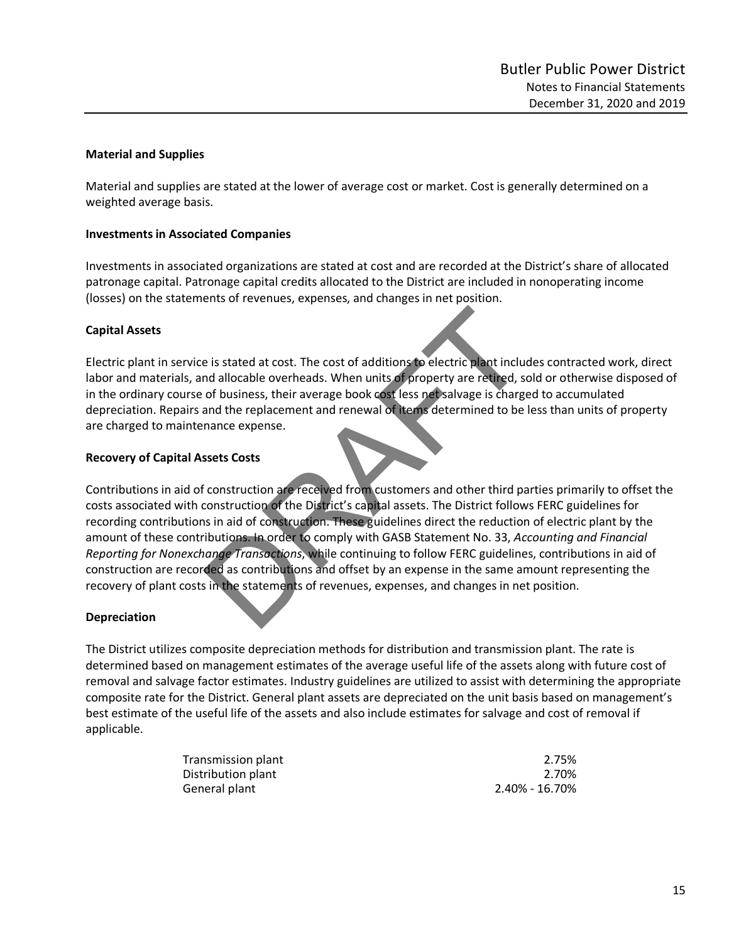### **Material and Supplies**

Material and supplies are stated at the lower of average cost or market. Cost is generally determined on a weighted average basis.

### **Investments in Associated Companies**

Investments in associated organizations are stated at cost and are recorded at the District's share of allocated patronage capital. Patronage capital credits allocated to the District are included in nonoperating income (losses) on the statements of revenues, expenses, and changes in net position.

## **Capital Assets**

Electric plant in service is stated at cost. The cost of additions to electric plant includes contracted work, direct labor and materials, and allocable overheads. When units of property are retired, sold or otherwise disposed of in the ordinary course of business, their average book cost less net salvage is charged to accumulated depreciation. Repairs and the replacement and renewal of items determined to be less than units of property are charged to maintenance expense.

## **Recovery of Capital Assets Costs**

Contributions in aid of construction are received from customers and other third parties primarily to offset the costs associated with construction of the District's capital assets. The District follows FERC guidelines for recording contributions in aid of construction. These guidelines direct the reduction of electric plant by the amount of these contributions. In order to comply with GASB Statement No. 33, *Accounting and Financial Reporting for Nonexchange Transactions*, while continuing to follow FERC guidelines, contributions in aid of construction are recorded as contributions and offset by an expense in the same amount representing the recovery of plant costs in the statements of revenues, expenses, and changes in net position. e is stated at cost. The cost of additions to electric plant included<br>and allocable overheads. When units of property are retired, so<br>of business, their average book cost less net salvage is charge<br>and the replacement and

### **Depreciation**

The District utilizes composite depreciation methods for distribution and transmission plant. The rate is determined based on management estimates of the average useful life of the assets along with future cost of removal and salvage factor estimates. Industry guidelines are utilized to assist with determining the appropriate composite rate for the District. General plant assets are depreciated on the unit basis based on management's best estimate of the useful life of the assets and also include estimates for salvage and cost of removal if applicable.

| Transmission plant | 2.75%          |
|--------------------|----------------|
| Distribution plant | 2.70%          |
| General plant      | 2.40% - 16.70% |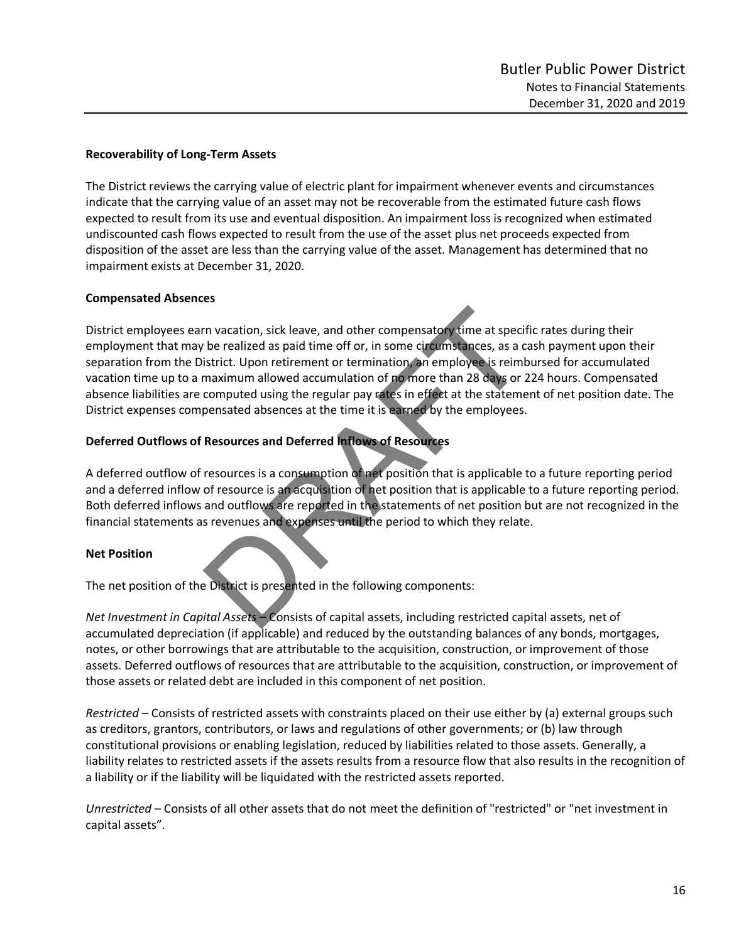## **Recoverability of Long-Term Assets**

The District reviews the carrying value of electric plant for impairment whenever events and circumstances indicate that the carrying value of an asset may not be recoverable from the estimated future cash flows expected to result from its use and eventual disposition. An impairment loss is recognized when estimated undiscounted cash flows expected to result from the use of the asset plus net proceeds expected from disposition of the asset are less than the carrying value of the asset. Management has determined that no impairment exists at December 31, 2020.

## **Compensated Absences**

District employees earn vacation, sick leave, and other compensatory time at specific rates during their employment that may be realized as paid time off or, in some circumstances, as a cash payment upon their separation from the District. Upon retirement or termination, an employee is reimbursed for accumulated vacation time up to a maximum allowed accumulation of no more than 28 days or 224 hours. Compensated absence liabilities are computed using the regular pay rates in effect at the statement of net position date. The District expenses compensated absences at the time it is earned by the employees. The vacation, sick leave, and other compensatory time at specified the realized as paid time off or, in some circumstances, as a constrict. Upon retirement or termination, an employee is reimh maximum allowed accumulation

## **Deferred Outflows of Resources and Deferred Inflows of Resources**

A deferred outflow of resources is a consumption of net position that is applicable to a future reporting period and a deferred inflow of resource is an acquisition of net position that is applicable to a future reporting period. Both deferred inflows and outflows are reported in the statements of net position but are not recognized in the financial statements as revenues and expenses until the period to which they relate.

## **Net Position**

The net position of the District is presented in the following components:

*Net Investment in Capital Assets* – Consists of capital assets, including restricted capital assets, net of accumulated depreciation (if applicable) and reduced by the outstanding balances of any bonds, mortgages, notes, or other borrowings that are attributable to the acquisition, construction, or improvement of those assets. Deferred outflows of resources that are attributable to the acquisition, construction, or improvement of those assets or related debt are included in this component of net position.

*Restricted* – Consists of restricted assets with constraints placed on their use either by (a) external groups such as creditors, grantors, contributors, or laws and regulations of other governments; or (b) law through constitutional provisions or enabling legislation, reduced by liabilities related to those assets. Generally, a liability relates to restricted assets if the assets results from a resource flow that also results in the recognition of a liability or if the liability will be liquidated with the restricted assets reported.

*Unrestricted* – Consists of all other assets that do not meet the definition of "restricted" or "net investment in capital assets".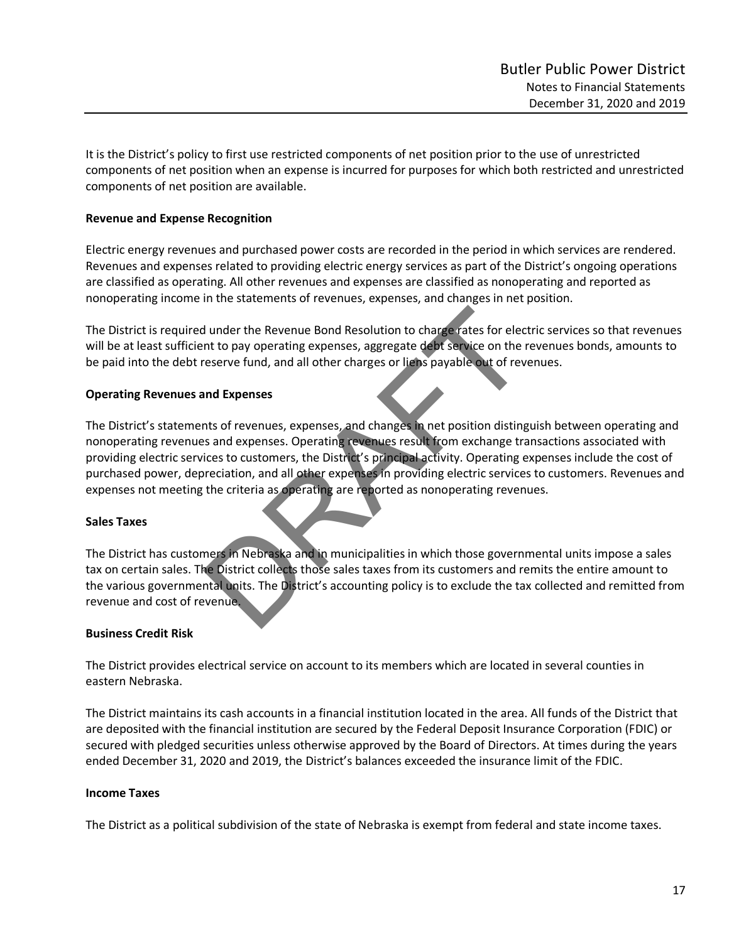It is the District's policy to first use restricted components of net position prior to the use of unrestricted components of net position when an expense is incurred for purposes for which both restricted and unrestricted components of net position are available.

### **Revenue and Expense Recognition**

Electric energy revenues and purchased power costs are recorded in the period in which services are rendered. Revenues and expenses related to providing electric energy services as part of the District's ongoing operations are classified as operating. All other revenues and expenses are classified as nonoperating and reported as nonoperating income in the statements of revenues, expenses, and changes in net position.

The District is required under the Revenue Bond Resolution to charge rates for electric services so that revenues will be at least sufficient to pay operating expenses, aggregate debt service on the revenues bonds, amounts to be paid into the debt reserve fund, and all other charges or liens payable out of revenues.

## **Operating Revenues and Expenses**

The District's statements of revenues, expenses, and changes in net position distinguish between operating and nonoperating revenues and expenses. Operating revenues result from exchange transactions associated with providing electric services to customers, the District's principal activity. Operating expenses include the cost of purchased power, depreciation, and all other expenses in providing electric services to customers. Revenues and expenses not meeting the criteria as operating are reported as nonoperating revenues. If the Revenue Bond Resolution to charge rates for elected to the reserve fund, and all other charges or liens payable out of reversion from the reserve fund, and all other charges or liens payable out of revalues and expe

### **Sales Taxes**

The District has customers in Nebraska and in municipalities in which those governmental units impose a sales tax on certain sales. The District collects those sales taxes from its customers and remits the entire amount to the various governmental units. The District's accounting policy is to exclude the tax collected and remitted from revenue and cost of revenue.

### **Business Credit Risk**

The District provides electrical service on account to its members which are located in several counties in eastern Nebraska.

The District maintains its cash accounts in a financial institution located in the area. All funds of the District that are deposited with the financial institution are secured by the Federal Deposit Insurance Corporation (FDIC) or secured with pledged securities unless otherwise approved by the Board of Directors. At times during the years ended December 31, 2020 and 2019, the District's balances exceeded the insurance limit of the FDIC.

### **Income Taxes**

The District as a political subdivision of the state of Nebraska is exempt from federal and state income taxes.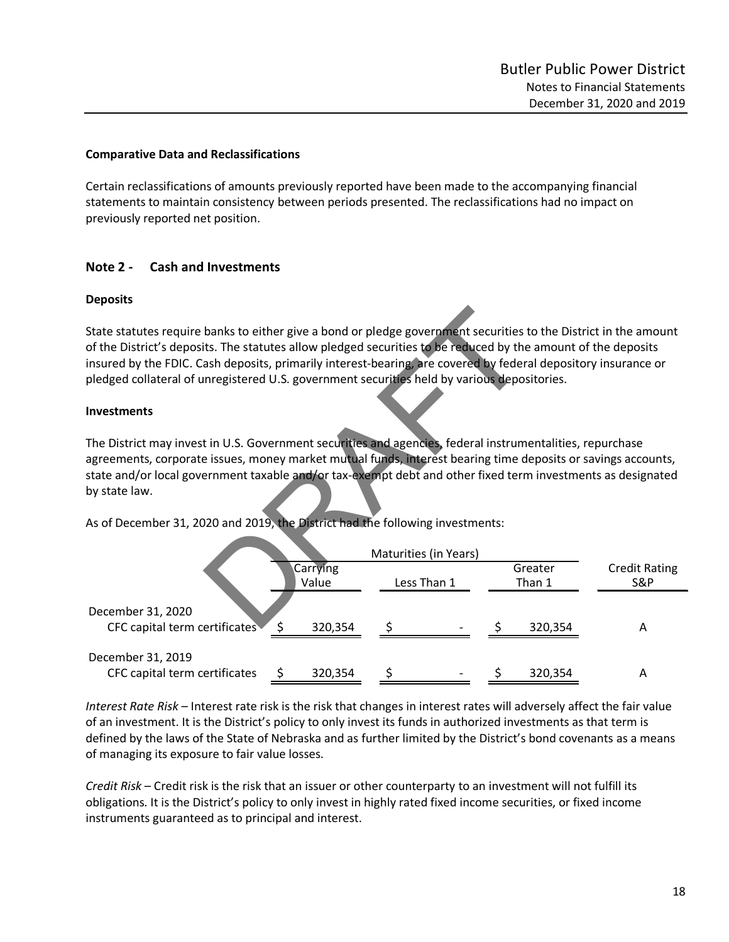#### **Comparative Data and Reclassifications**

Certain reclassifications of amounts previously reported have been made to the accompanying financial statements to maintain consistency between periods presented. The reclassifications had no impact on previously reported net position.

## **Note 2 - Cash and Investments**

#### **Deposits**

#### **Investments**

| State statutes require banks to either give a bond or pledge government securities to the District in the amount<br>of the District's deposits. The statutes allow pledged securities to be reduced by the amount of the deposits                                                                                                                                                                                                          |               |                       |         |                      |
|--------------------------------------------------------------------------------------------------------------------------------------------------------------------------------------------------------------------------------------------------------------------------------------------------------------------------------------------------------------------------------------------------------------------------------------------|---------------|-----------------------|---------|----------------------|
| insured by the FDIC. Cash deposits, primarily interest-bearing, are covered by federal depository insurance or                                                                                                                                                                                                                                                                                                                             |               |                       |         |                      |
| pledged collateral of unregistered U.S. government securities held by various depositories.                                                                                                                                                                                                                                                                                                                                                |               |                       |         |                      |
|                                                                                                                                                                                                                                                                                                                                                                                                                                            |               |                       |         |                      |
| <b>Investments</b>                                                                                                                                                                                                                                                                                                                                                                                                                         |               |                       |         |                      |
| The District may invest in U.S. Government securities and agencies, federal instrumentalities, repurchase<br>agreements, corporate issues, money market mutual funds, interest bearing time deposits or savings accounts,<br>state and/or local government taxable and/or tax-exempt debt and other fixed term investments as designated<br>by state law.<br>As of December 31, 2020 and 2019, the District had the following investments: |               |                       |         |                      |
|                                                                                                                                                                                                                                                                                                                                                                                                                                            |               | Maturities (in Years) |         |                      |
|                                                                                                                                                                                                                                                                                                                                                                                                                                            | Carrying      |                       | Greater | <b>Credit Rating</b> |
|                                                                                                                                                                                                                                                                                                                                                                                                                                            | Value         | Less Than 1           | Than 1  | S&P                  |
| December 31, 2020                                                                                                                                                                                                                                                                                                                                                                                                                          |               |                       |         |                      |
| CFC capital term certificates                                                                                                                                                                                                                                                                                                                                                                                                              | \$<br>320,354 |                       | 320,354 | A                    |
| December 31, 2019                                                                                                                                                                                                                                                                                                                                                                                                                          |               |                       |         |                      |
| CFC capital term certificates                                                                                                                                                                                                                                                                                                                                                                                                              | 320,354       |                       | 320,354 | A                    |

*Interest Rate Risk* – Interest rate risk is the risk that changes in interest rates will adversely affect the fair value of an investment. It is the District's policy to only invest its funds in authorized investments as that term is defined by the laws of the State of Nebraska and as further limited by the District's bond covenants as a means of managing its exposure to fair value losses.

*Credit Risk* – Credit risk is the risk that an issuer or other counterparty to an investment will not fulfill its obligations. It is the District's policy to only invest in highly rated fixed income securities, or fixed income instruments guaranteed as to principal and interest.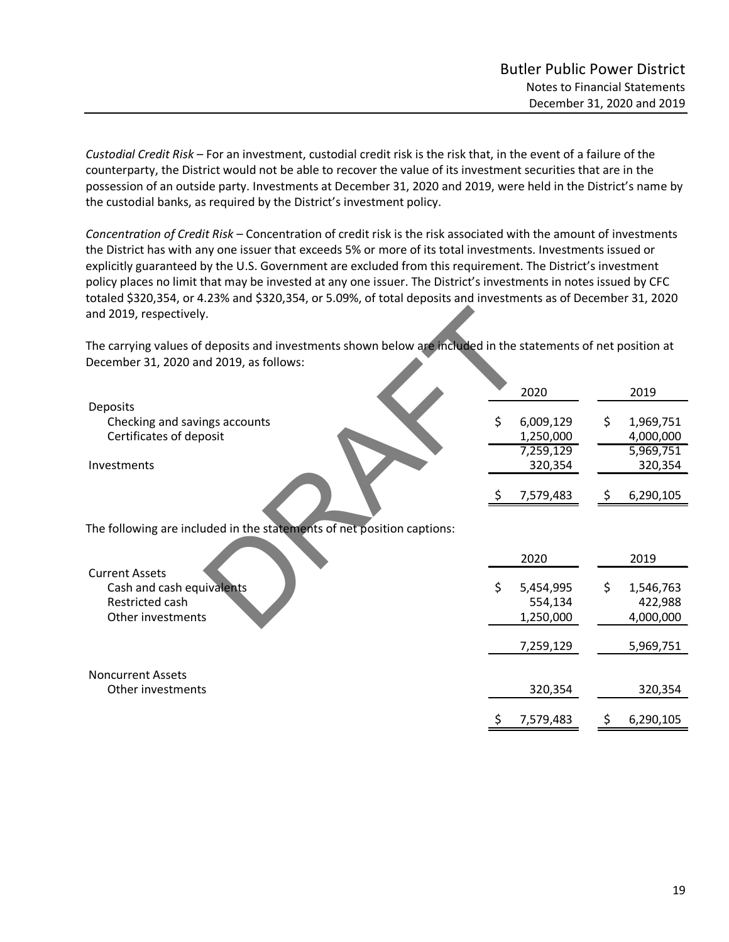*Custodial Credit Risk* – For an investment, custodial credit risk is the risk that, in the event of a failure of the counterparty, the District would not be able to recover the value of its investment securities that are in the possession of an outside party. Investments at December 31, 2020 and 2019, were held in the District's name by the custodial banks, as required by the District's investment policy.

*Concentration of Credit Risk* – Concentration of credit risk is the risk associated with the amount of investments the District has with any one issuer that exceeds 5% or more of its total investments. Investments issued or explicitly guaranteed by the U.S. Government are excluded from this requirement. The District's investment policy places no limit that may be invested at any one issuer. The District's investments in notes issued by CFC totaled \$320,354, or 4.23% and \$320,354, or 5.09%, of total deposits and investments as of December 31, 2020 and 2019, respectively.

| and 2019, respectively.                                                                                                                                  |                                           |    |                                     |
|----------------------------------------------------------------------------------------------------------------------------------------------------------|-------------------------------------------|----|-------------------------------------|
| The carrying values of deposits and investments shown below are included in the statements of net position at<br>December 31, 2020 and 2019, as follows: |                                           |    |                                     |
|                                                                                                                                                          | 2020                                      |    | 2019                                |
| Deposits<br>Checking and savings accounts<br>Certificates of deposit                                                                                     | \$<br>6,009,129<br>1,250,000<br>7,259,129 | \$ | 1,969,751<br>4,000,000<br>5,969,751 |
| Investments                                                                                                                                              | 320,354                                   |    | 320,354                             |
|                                                                                                                                                          | 7,579,483                                 | Ş  | 6,290,105                           |
| The following are included in the statements of net position captions:                                                                                   |                                           |    |                                     |
| <b>Current Assets</b>                                                                                                                                    | 2020                                      |    | 2019                                |
| Cash and cash equivalents<br>Restricted cash<br>Other investments                                                                                        | \$<br>5,454,995<br>554,134<br>1,250,000   | \$ | 1,546,763<br>422,988<br>4,000,000   |
|                                                                                                                                                          | 7,259,129                                 |    | 5,969,751                           |
| <b>Noncurrent Assets</b>                                                                                                                                 |                                           |    |                                     |
| Other investments                                                                                                                                        | 320,354                                   |    | 320,354                             |
|                                                                                                                                                          | 7,579,483                                 |    | 6,290,105                           |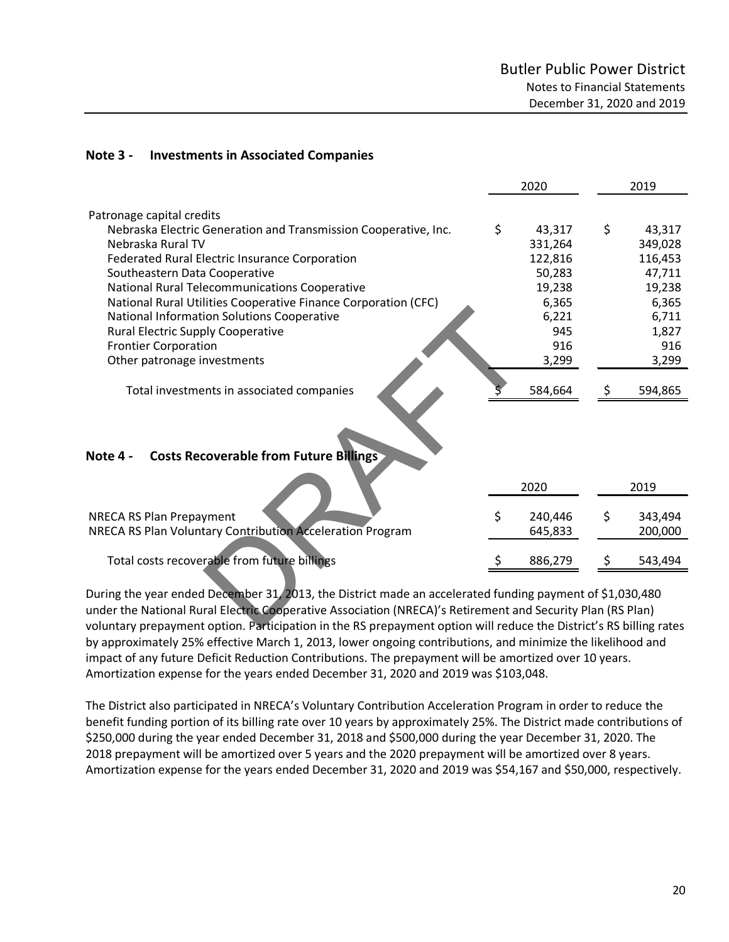## **Note 3 - Investments in Associated Companies**

|                                                                                                                    | 2020          |    | 2019    |
|--------------------------------------------------------------------------------------------------------------------|---------------|----|---------|
| Patronage capital credits                                                                                          |               |    |         |
| Nebraska Electric Generation and Transmission Cooperative, Inc.                                                    | \$<br>43,317  | \$ | 43,317  |
| Nebraska Rural TV                                                                                                  | 331,264       |    | 349,028 |
| Federated Rural Electric Insurance Corporation                                                                     | 122,816       |    | 116,453 |
| Southeastern Data Cooperative                                                                                      | 50,283        |    | 47,711  |
| National Rural Telecommunications Cooperative                                                                      | 19,238        |    | 19,238  |
| National Rural Utilities Cooperative Finance Corporation (CFC)                                                     | 6,365         |    | 6,365   |
| <b>National Information Solutions Cooperative</b>                                                                  | 6,221         |    | 6,711   |
| <b>Rural Electric Supply Cooperative</b>                                                                           | 945           |    | 1,827   |
| <b>Frontier Corporation</b>                                                                                        | 916           |    | 916     |
| Other patronage investments                                                                                        | 3,299         |    | 3,299   |
| Total investments in associated companies                                                                          | 584,664       |    | 594,865 |
| <b>Costs Recoverable from Future Billings</b><br>Note 4 -                                                          | 2020          |    | 2019    |
|                                                                                                                    |               |    |         |
| <b>NRECA RS Plan Prepayment</b>                                                                                    | \$<br>240,446 | \$ | 343,494 |
| NRECA RS Plan Voluntary Contribution Acceleration Program                                                          | 645,833       |    | 200,000 |
|                                                                                                                    |               |    |         |
| Total costs recoverable from future billings                                                                       | 886,279       | S  | 543,494 |
| During the year ended December 31, 2013, the District made an accelerated funding payment of \$1,030,480           |               |    |         |
| under the National Rural Electric Cooperative Association (NRECA)'s Retirement and Security Plan (RS Plan)         |               |    |         |
| voluntary prepayment option. Participation in the RS prepayment option will reduce the District's RS billing rates |               |    |         |

During the year ended December 31, 2013, the District made an accelerated funding payment of \$1,030,480 under the National Rural Electric Cooperative Association (NRECA)'s Retirement and Security Plan (RS Plan) voluntary prepayment option. Participation in the RS prepayment option will reduce the District's RS billing rates by approximately 25% effective March 1, 2013, lower ongoing contributions, and minimize the likelihood and impact of any future Deficit Reduction Contributions. The prepayment will be amortized over 10 years. Amortization expense for the years ended December 31, 2020 and 2019 was \$103,048.

The District also participated in NRECA's Voluntary Contribution Acceleration Program in order to reduce the benefit funding portion of its billing rate over 10 years by approximately 25%. The District made contributions of \$250,000 during the year ended December 31, 2018 and \$500,000 during the year December 31, 2020. The 2018 prepayment will be amortized over 5 years and the 2020 prepayment will be amortized over 8 years. Amortization expense for the years ended December 31, 2020 and 2019 was \$54,167 and \$50,000, respectively.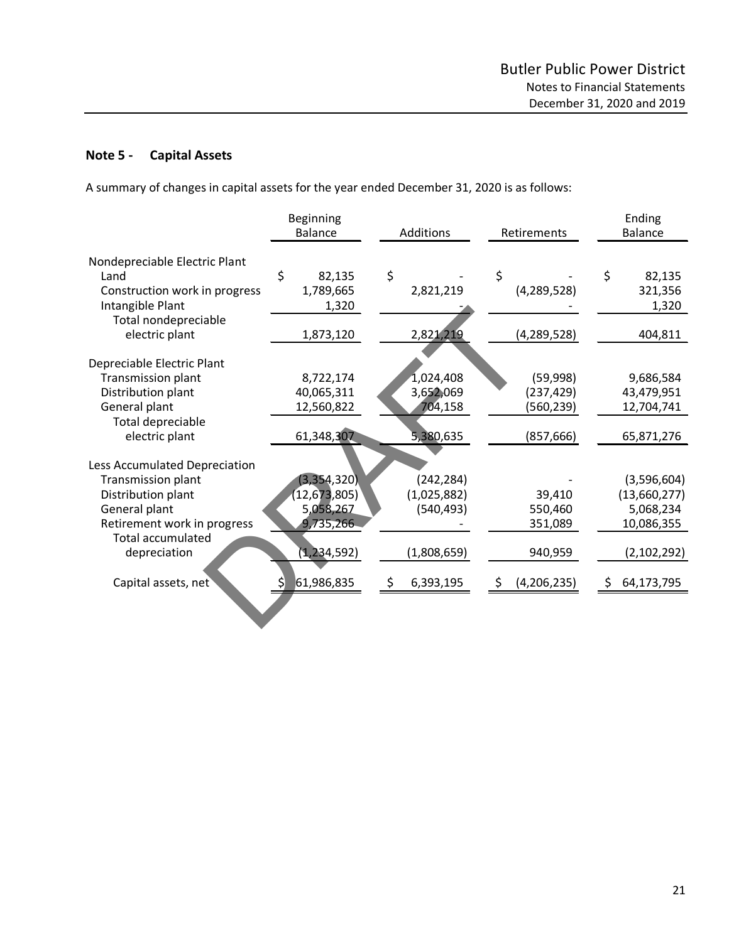# **Note 5 - Capital Assets**

A summary of changes in capital assets for the year ended December 31, 2020 is as follows:

|                                                                                                                                       | Beginning<br><b>Balance</b>                               | Additions                                      | Retirements                                        |                                                        |  |
|---------------------------------------------------------------------------------------------------------------------------------------|-----------------------------------------------------------|------------------------------------------------|----------------------------------------------------|--------------------------------------------------------|--|
| Nondepreciable Electric Plant<br>Land<br>Construction work in progress<br>Intangible Plant                                            | \$<br>82,135<br>1,789,665<br>1,320                        | \$<br>2,821,219                                | \$<br>(4, 289, 528)                                | \$<br>82,135<br>321,356<br>1,320                       |  |
| Total nondepreciable<br>electric plant                                                                                                | 1,873,120                                                 | 2,821,219                                      | (4, 289, 528)                                      | 404,811                                                |  |
| Depreciable Electric Plant<br><b>Transmission plant</b><br>Distribution plant<br>General plant<br>Total depreciable<br>electric plant | 8,722,174<br>40,065,311<br>12,560,822<br>61,348,307       | 1,024,408<br>3,652,069<br>704,158<br>5,380,635 | (59,998)<br>(237, 429)<br>(560, 239)<br>(857, 666) | 9,686,584<br>43,479,951<br>12,704,741<br>65,871,276    |  |
| Less Accumulated Depreciation<br>Transmission plant<br>Distribution plant<br>General plant<br>Retirement work in progress             | (3, 354, 320)<br>(12, 673, 805)<br>5,058,267<br>9,735,266 | (242, 284)<br>(1,025,882)<br>(540, 493)        | 39,410<br>550,460<br>351,089                       | (3,596,604)<br>(13,660,277)<br>5,068,234<br>10,086,355 |  |
| <b>Total accumulated</b><br>depreciation<br>Capital assets, net                                                                       | (1, 234, 592)<br>61,986,835                               | (1,808,659)<br>6,393,195<br>S.                 | 940,959<br>(4,206,235)<br>-\$                      | (2, 102, 292)<br>64,173,795<br>\$.                     |  |
|                                                                                                                                       |                                                           |                                                |                                                    |                                                        |  |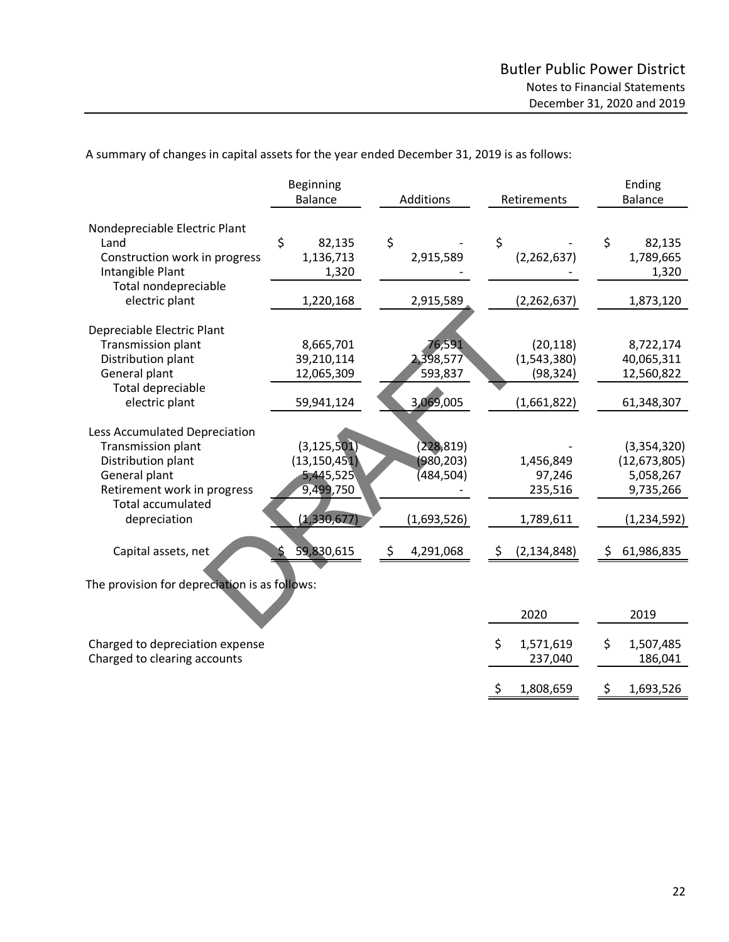\$ 1,808,659 \$ 1,693,526

|                                                                                                                                | Beginning<br><b>Balance</b>                               | Additions                                   | Retirements                                          | Ending<br><b>Balance</b>                                |
|--------------------------------------------------------------------------------------------------------------------------------|-----------------------------------------------------------|---------------------------------------------|------------------------------------------------------|---------------------------------------------------------|
|                                                                                                                                |                                                           |                                             |                                                      |                                                         |
| Nondepreciable Electric Plant<br>Land<br>Construction work in progress<br>Intangible Plant                                     | \$<br>82,135<br>1,136,713<br>1,320                        | \$<br>2,915,589                             | \$<br>(2, 262, 637)                                  | \$<br>82,135<br>1,789,665<br>1,320                      |
| Total nondepreciable<br>electric plant                                                                                         | 1,220,168                                                 | 2,915,589                                   | (2, 262, 637)                                        | 1,873,120                                               |
| Depreciable Electric Plant<br>Transmission plant<br>Distribution plant<br>General plant<br>Total depreciable<br>electric plant | 8,665,701<br>39,210,114<br>12,065,309<br>59,941,124       | 76,591<br>2,398,577<br>593,837<br>3,069,005 | (20, 118)<br>(1,543,380)<br>(98, 324)<br>(1,661,822) | 8,722,174<br>40,065,311<br>12,560,822<br>61,348,307     |
| Less Accumulated Depreciation                                                                                                  |                                                           |                                             |                                                      |                                                         |
| Transmission plant<br>Distribution plant<br>General plant<br>Retirement work in progress<br><b>Total accumulated</b>           | (3, 125, 501)<br>(13, 150, 451)<br>5,445,525<br>9,499,750 | (228, 819)<br>(980, 203)<br>(484,504)       | 1,456,849<br>97,246<br>235,516                       | (3,354,320)<br>(12, 673, 805)<br>5,058,267<br>9,735,266 |
| depreciation                                                                                                                   | (1,330,677)                                               | (1,693,526)                                 | 1,789,611                                            | (1,234,592)                                             |
| Capital assets, net                                                                                                            | 59,830,615                                                | 4,291,068<br>\$                             | (2, 134, 848)<br>\$                                  | 61,986,835<br>\$                                        |
| The provision for depreciation is as follows:                                                                                  |                                                           |                                             | 2020                                                 | 2019                                                    |
| Charged to depreciation expense<br>Charged to clearing accounts                                                                |                                                           |                                             | \$<br>1,571,619<br>237,040                           | \$<br>1,507,485<br>186,041                              |

A summary of changes in capital assets for the year ended December 31, 2019 is as follows: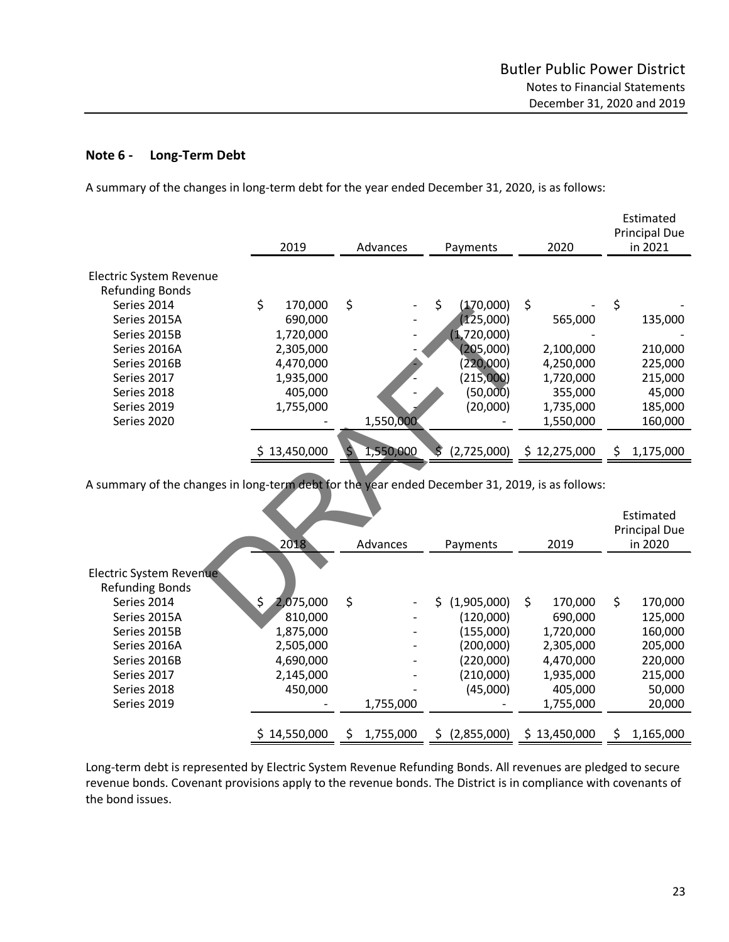## **Note 6 - Long-Term Debt**

A summary of the changes in long-term debt for the year ended December 31, 2020, is as follows:

|                                                                                                 | 2019         |           | Advances  |    | Payments    | 2020                     | Estimated<br><b>Principal Due</b><br>in 2021 |
|-------------------------------------------------------------------------------------------------|--------------|-----------|-----------|----|-------------|--------------------------|----------------------------------------------|
| Electric System Revenue                                                                         |              |           |           |    |             |                          |                                              |
| <b>Refunding Bonds</b>                                                                          |              |           |           |    |             |                          |                                              |
| Series 2014                                                                                     | \$           | 170,000   | \$        | \$ | (170,000)   | \$                       | \$                                           |
| Series 2015A                                                                                    |              | 690,000   |           |    | (125,000)   | 565,000                  | 135,000                                      |
| Series 2015B                                                                                    |              | 1,720,000 |           |    | (1,720,000) |                          |                                              |
| Series 2016A                                                                                    |              | 2,305,000 |           |    | (205,000)   | 2,100,000                | 210,000                                      |
| Series 2016B                                                                                    |              | 4,470,000 |           |    | (220,000)   | 4,250,000                | 225,000                                      |
| Series 2017                                                                                     |              | 1,935,000 |           |    | (215,000)   | 1,720,000                | 215,000                                      |
| Series 2018                                                                                     |              | 405,000   |           |    | (50,000)    | 355,000                  | 45,000                                       |
| Series 2019                                                                                     |              | 1,755,000 |           |    | (20,000)    | 1,735,000                | 185,000                                      |
| Series 2020                                                                                     |              |           | 1,550,000 |    |             | 1,550,000                | 160,000                                      |
|                                                                                                 | \$13,450,000 |           | 1,550,000 |    | (2,725,000) | \$12,275,000             | \$<br>1,175,000                              |
| A summary of the changes in long-term debt for the year ended December 31, 2019, is as follows: |              |           |           |    |             |                          |                                              |
|                                                                                                 |              |           |           |    |             |                          | Estimated<br><b>Principal Due</b>            |
|                                                                                                 | 2018         |           | Advances  |    | Payments    | 2019                     | in 2020                                      |
| Electric System Revenue<br>Refunding Bonds                                                      |              |           |           |    |             |                          |                                              |
| Series 2014                                                                                     | \$           | 2,075,000 | \$        | Ś  | (1,905,000) | \$<br>170,000            | \$<br>170,000                                |
| Series 2015A                                                                                    |              | 810,000   |           |    | (120,000)   | 690,000                  | 125,000                                      |
| $\frac{1}{2}$                                                                                   |              | 277.22    |           |    | $11 - 200$  | $\overline{\phantom{a}}$ | 10000                                        |

|                         | 2018            |    | Advances  | Payments         | 2019          | Estimated<br><b>Principal Due</b><br>in 2020 |
|-------------------------|-----------------|----|-----------|------------------|---------------|----------------------------------------------|
|                         |                 |    |           |                  |               |                                              |
| Electric System Revenue |                 |    |           |                  |               |                                              |
| <b>Refunding Bonds</b>  |                 |    |           |                  |               |                                              |
| Series 2014             | \$<br>2,075,000 | \$ |           | (1,905,000)<br>Ś | \$<br>170,000 | \$<br>170,000                                |
| Series 2015A            | 810,000         |    |           | (120,000)        | 690,000       | 125,000                                      |
| Series 2015B            | 1,875,000       |    |           | (155,000)        | 1,720,000     | 160,000                                      |
| Series 2016A            | 2,505,000       |    |           | (200,000)        | 2,305,000     | 205,000                                      |
| Series 2016B            | 4,690,000       |    |           | (220,000)        | 4,470,000     | 220,000                                      |
| Series 2017             | 2,145,000       |    |           | (210,000)        | 1,935,000     | 215,000                                      |
| Series 2018             | 450,000         |    |           | (45,000)         | 405,000       | 50,000                                       |
| Series 2019             |                 |    | 1,755,000 |                  | 1,755,000     | 20,000                                       |
|                         |                 |    |           |                  |               |                                              |
|                         | \$14,550,000    | Ś  | 1,755,000 | (2,855,000)<br>S | \$13,450,000  | 1,165,000                                    |

Long-term debt is represented by Electric System Revenue Refunding Bonds. All revenues are pledged to secure revenue bonds. Covenant provisions apply to the revenue bonds. The District is in compliance with covenants of the bond issues.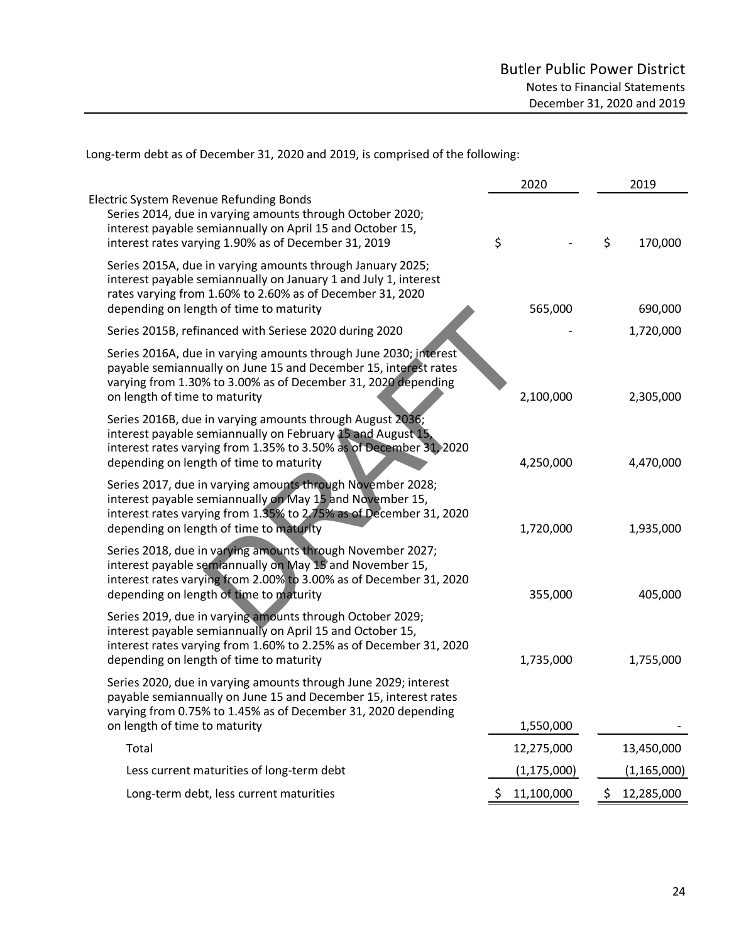Long-term debt as of December 31, 2020 and 2019, is comprised of the following:

|                                                                                                                                                                                                                                           | 2020             | 2019             |
|-------------------------------------------------------------------------------------------------------------------------------------------------------------------------------------------------------------------------------------------|------------------|------------------|
| Electric System Revenue Refunding Bonds<br>Series 2014, due in varying amounts through October 2020;<br>interest payable semiannually on April 15 and October 15,<br>interest rates varying 1.90% as of December 31, 2019                 | \$               | \$<br>170,000    |
| Series 2015A, due in varying amounts through January 2025;<br>interest payable semiannually on January 1 and July 1, interest<br>rates varying from 1.60% to 2.60% as of December 31, 2020<br>depending on length of time to maturity     | 565,000          | 690,000          |
| Series 2015B, refinanced with Seriese 2020 during 2020                                                                                                                                                                                    |                  | 1,720,000        |
| Series 2016A, due in varying amounts through June 2030; interest<br>payable semiannually on June 15 and December 15, interest rates<br>varying from 1.30% to 3.00% as of December 31, 2020 depending<br>on length of time to maturity     | 2,100,000        | 2,305,000        |
| Series 2016B, due in varying amounts through August 2036;<br>interest payable semiannually on February 15 and August 15,<br>interest rates varying from 1.35% to 3.50% as of December 31, 2020<br>depending on length of time to maturity | 4,250,000        | 4,470,000        |
| Series 2017, due in varying amounts through November 2028;<br>interest payable semiannually on May 15 and November 15,<br>interest rates varying from 1.35% to 2.75% as of December 31, 2020<br>depending on length of time to maturity   | 1,720,000        | 1,935,000        |
| Series 2018, due in varying amounts through November 2027;<br>interest payable semiannually on May 15 and November 15,<br>interest rates varying from 2.00% to 3.00% as of December 31, 2020<br>depending on length of time to maturity   | 355,000          | 405,000          |
| Series 2019, due in varying amounts through October 2029;<br>interest payable semiannually on April 15 and October 15,<br>interest rates varying from 1.60% to 2.25% as of December 31, 2020<br>depending on length of time to maturity   | 1,735,000        | 1,755,000        |
| Series 2020, due in varying amounts through June 2029; interest<br>payable semiannually on June 15 and December 15, interest rates<br>varying from 0.75% to 1.45% as of December 31, 2020 depending<br>on length of time to maturity      | 1,550,000        |                  |
| Total                                                                                                                                                                                                                                     | 12,275,000       | 13,450,000       |
| Less current maturities of long-term debt                                                                                                                                                                                                 | (1, 175, 000)    | (1, 165, 000)    |
| Long-term debt, less current maturities                                                                                                                                                                                                   | 11,100,000<br>\$ | \$<br>12,285,000 |
|                                                                                                                                                                                                                                           |                  |                  |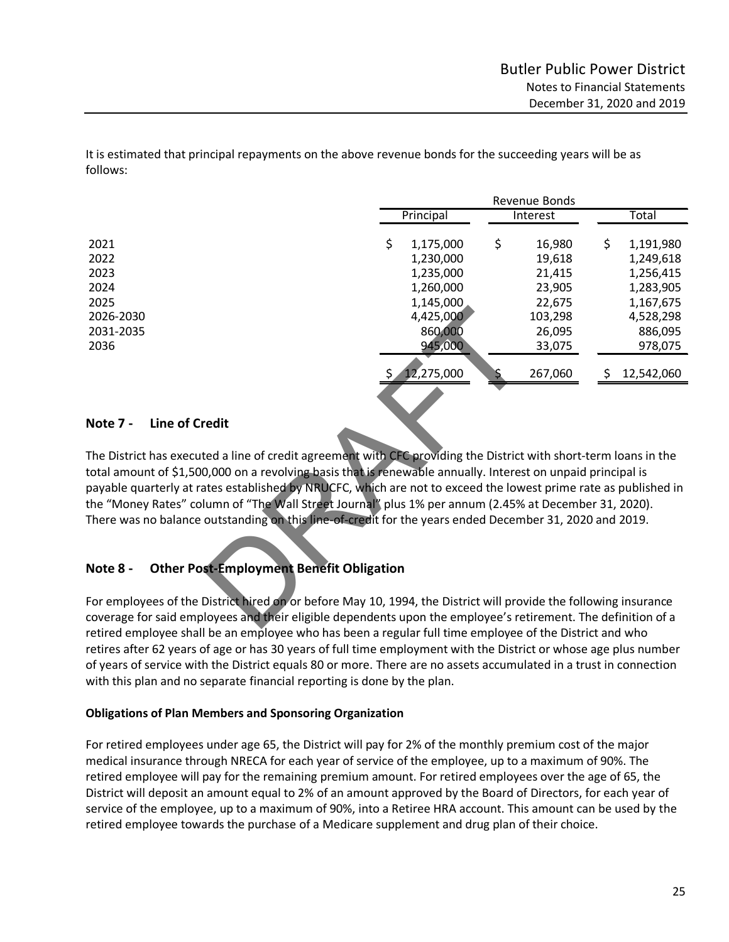It is estimated that principal repayments on the above revenue bonds for the succeeding years will be as follows:

|                                                                                                                                                                                                                                                                               | Revenue Bonds |            |    |          |    |            |
|-------------------------------------------------------------------------------------------------------------------------------------------------------------------------------------------------------------------------------------------------------------------------------|---------------|------------|----|----------|----|------------|
|                                                                                                                                                                                                                                                                               |               | Principal  |    | Interest |    | Total      |
| 2021                                                                                                                                                                                                                                                                          | \$            | 1,175,000  | \$ | 16,980   | \$ | 1,191,980  |
| 2022                                                                                                                                                                                                                                                                          |               | 1,230,000  |    | 19,618   |    | 1,249,618  |
| 2023                                                                                                                                                                                                                                                                          |               | 1,235,000  |    | 21,415   |    | 1,256,415  |
| 2024                                                                                                                                                                                                                                                                          |               | 1,260,000  |    | 23,905   |    | 1,283,905  |
| 2025                                                                                                                                                                                                                                                                          |               | 1,145,000  |    | 22,675   |    | 1,167,675  |
| 2026-2030                                                                                                                                                                                                                                                                     |               | 4,425,000  |    | 103,298  |    | 4,528,298  |
| 2031-2035                                                                                                                                                                                                                                                                     |               | 860,000    |    | 26,095   |    | 886,095    |
| 2036                                                                                                                                                                                                                                                                          |               | 945,000    |    | 33,075   |    | 978,075    |
|                                                                                                                                                                                                                                                                               |               |            |    |          |    |            |
|                                                                                                                                                                                                                                                                               |               | 12,275,000 |    | 267,060  | Ş  | 12,542,060 |
| <b>Line of Credit</b><br><b>Note 7 -</b><br>The District has executed a line of credit agreement with CFC providing the District with short-term loans in the<br>total amount of \$1,500,000 on a revolving basis that is renewable annually. Interest on unpaid principal is |               |            |    |          |    |            |
| payable quarterly at rates established by NRUCFC, which are not to exceed the lowest prime rate as published in                                                                                                                                                               |               |            |    |          |    |            |
| the "Money Rates" column of "The Wall Street Journal" plus 1% per annum (2.45% at December 31, 2020).                                                                                                                                                                         |               |            |    |          |    |            |
| There was no balance outstanding on this line-of-credit for the years ended December 31, 2020 and 2019.                                                                                                                                                                       |               |            |    |          |    |            |
| <b>Other Post-Employment Benefit Obligation</b><br>Note 8 -                                                                                                                                                                                                                   |               |            |    |          |    |            |
|                                                                                                                                                                                                                                                                               |               |            |    |          |    |            |
| For employees of the District hired on or before May 10, 1994, the District will provide the following insurance                                                                                                                                                              |               |            |    |          |    |            |
| coverage for said employees and their eligible dependents upon the employee's retirement. The definition of a                                                                                                                                                                 |               |            |    |          |    |            |
|                                                                                                                                                                                                                                                                               |               |            |    |          |    |            |

## **Note 7 - Line of Credit**

# **Note 8 - Other Post-Employment Benefit Obligation**

For employees of the District hired on or before May 10, 1994, the District will provide the following insurance coverage for said employees and their eligible dependents upon the employee's retirement. The definition of a retired employee shall be an employee who has been a regular full time employee of the District and who retires after 62 years of age or has 30 years of full time employment with the District or whose age plus number of years of service with the District equals 80 or more. There are no assets accumulated in a trust in connection with this plan and no separate financial reporting is done by the plan.

## **Obligations of Plan Members and Sponsoring Organization**

For retired employees under age 65, the District will pay for 2% of the monthly premium cost of the major medical insurance through NRECA for each year of service of the employee, up to a maximum of 90%. The retired employee will pay for the remaining premium amount. For retired employees over the age of 65, the District will deposit an amount equal to 2% of an amount approved by the Board of Directors, for each year of service of the employee, up to a maximum of 90%, into a Retiree HRA account. This amount can be used by the retired employee towards the purchase of a Medicare supplement and drug plan of their choice.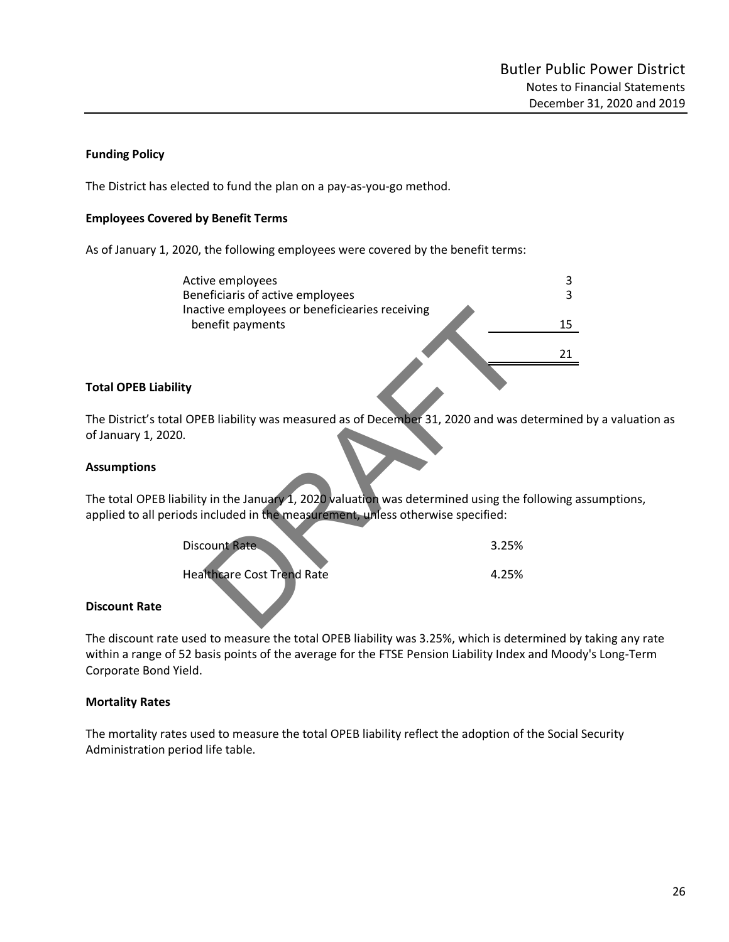## **Funding Policy**

The District has elected to fund the plan on a pay-as-you-go method.

#### **Employees Covered by Benefit Terms**

As of January 1, 2020, the following employees were covered by the benefit terms:

| Active employees                                                            | 3     |
|-----------------------------------------------------------------------------|-------|
| Beneficiaris of active employees                                            | 3     |
| Inactive employees or beneficiearies receiving                              |       |
| benefit payments                                                            | 15    |
|                                                                             |       |
|                                                                             | 21    |
|                                                                             |       |
| ity                                                                         |       |
|                                                                             |       |
|                                                                             |       |
| I OPEB liability was measured as of December 31, 2020 and was determine     |       |
| ).                                                                          |       |
|                                                                             |       |
| ibility in the January 1, 2020 valuation was determined using the following |       |
| ods included in the measurement, unless otherwise specified:                |       |
|                                                                             |       |
| <b>Discount Rate</b>                                                        | 3.25% |
|                                                                             |       |
| <b>Healthcare Cost Trend Rate</b>                                           | 4.25% |
|                                                                             |       |

## **Total OPEB Liability**

The District's total OPEB liability was measured as of December 31, 2020 and was determined by a valuation as of January 1, 2020.

#### **Assumptions**

The total OPEB liability in the January 1, 2020 valuation was determined using the following assumptions, applied to all periods included in the measurement, unless otherwise specified:

| Discount Rate                     | 3.25% |
|-----------------------------------|-------|
| <b>Healthcare Cost Trend Rate</b> | 4.25% |

### **Discount Rate**

The discount rate used to measure the total OPEB liability was 3.25%, which is determined by taking any rate within a range of 52 basis points of the average for the FTSE Pension Liability Index and Moody's Long-Term Corporate Bond Yield.

### **Mortality Rates**

The mortality rates used to measure the total OPEB liability reflect the adoption of the Social Security Administration period life table.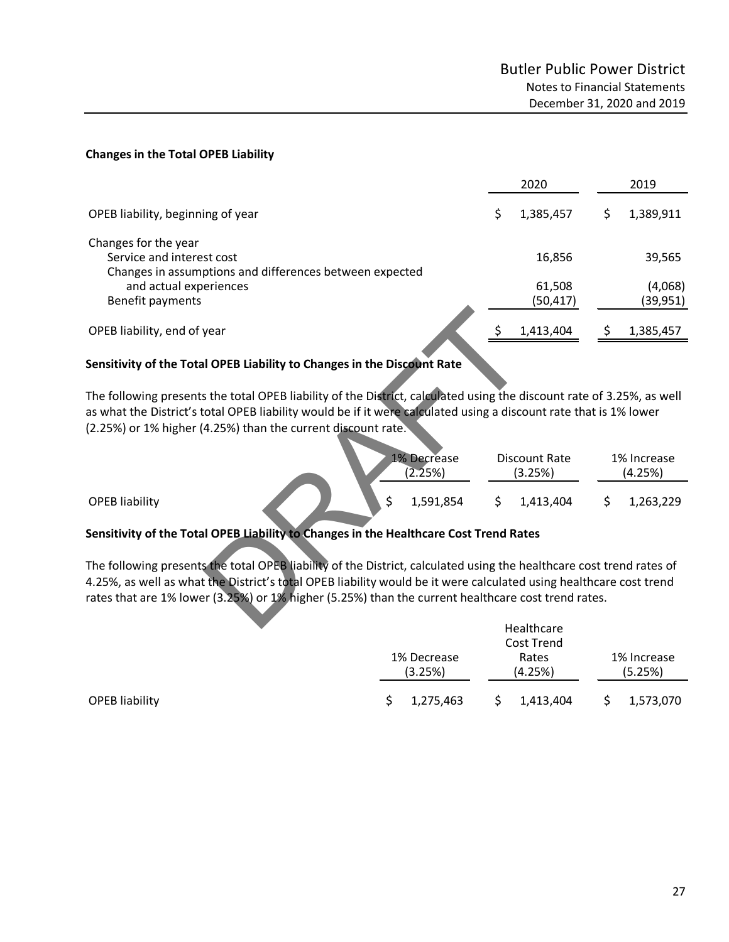#### **Changes in the Total OPEB Liability**

|                                                                                                              | 2020                |   | 2019                |
|--------------------------------------------------------------------------------------------------------------|---------------------|---|---------------------|
| OPEB liability, beginning of year                                                                            | 1,385,457           | S | 1,389,911           |
| Changes for the year<br>Service and interest cost<br>Changes in assumptions and differences between expected | 16,856              |   | 39,565              |
| and actual experiences<br>Benefit payments                                                                   | 61,508<br>(50, 417) |   | (4,068)<br>(39,951) |
| OPEB liability, end of year                                                                                  | 1,413,404           |   | 1,385,457           |
|                                                                                                              |                     |   |                     |

## **Sensitivity of the Total OPEB Liability to Changes in the Discount Rate**

| OPEB liability, end of year                                                                                                                                                                                                                | 1,413,404                | 1,385,457<br>Ş.        |
|--------------------------------------------------------------------------------------------------------------------------------------------------------------------------------------------------------------------------------------------|--------------------------|------------------------|
| Sensitivity of the Total OPEB Liability to Changes in the Discount Rate                                                                                                                                                                    |                          |                        |
| The following presents the total OPEB liability of the District, calculated using the discount rate of 3.25%, as well<br>as what the District's total OPEB liability would be if it were calculated using a discount rate that is 1% lower |                          |                        |
| 2.25%) or 1% higher (4.25%) than the current discount rate.                                                                                                                                                                                |                          |                        |
| <b>1% Decrease</b><br>(2.25%)                                                                                                                                                                                                              | Discount Rate<br>(3.25%) | 1% Increase<br>(4.25%) |
| <b>OPEB liability</b><br>1,591,854                                                                                                                                                                                                         | 1,413,404                | 1,263,229<br>Ś         |
| Sensitivity of the Total OPEB Liability to Changes in the Healthcare Cost Trend Rates                                                                                                                                                      |                          |                        |
| The following presents the total OPEB liability of the District, calculated using the healthcare cost trend rates of                                                                                                                       |                          |                        |
| 1.25%, as well as what the District's total OPEB liability would be it were calculated using healthcare cost trend<br>ates that are 1% lower (3.25%) or 1% higher (5.25%) than the current healthcare cost trend rates.                    |                          |                        |
|                                                                                                                                                                                                                                            | Hoalthcare               |                        |

### **Sensitivity of the Total OPEB Liability to Changes in the Healthcare Cost Trend Rates**

|                | Healthcare<br>Cost Trend |                        |  |                  |  |                        |  |
|----------------|--------------------------|------------------------|--|------------------|--|------------------------|--|
|                |                          | 1% Decrease<br>(3.25%) |  | Rates<br>(4.25%) |  | 1% Increase<br>(5.25%) |  |
| OPEB liability |                          | 1,275,463              |  | 1,413,404        |  | 1,573,070              |  |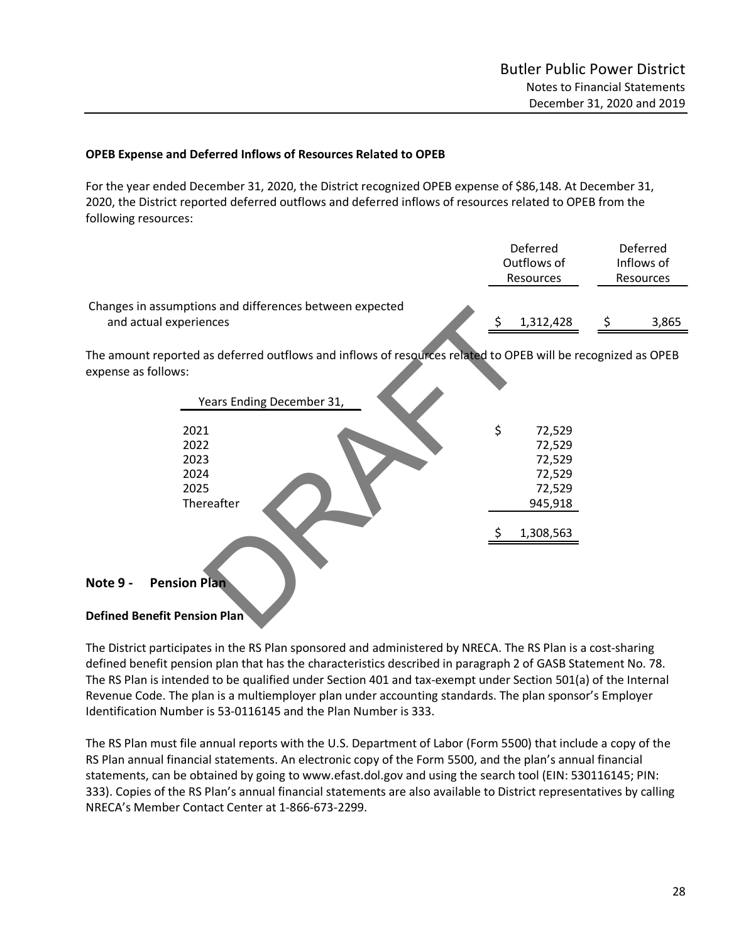### **OPEB Expense and Deferred Inflows of Resources Related to OPEB**

For the year ended December 31, 2020, the District recognized OPEB expense of \$86,148. At December 31, 2020, the District reported deferred outflows and deferred inflows of resources related to OPEB from the following resources:

|                                                                                                                                     | Deferred<br>Outflows of<br>Resources |                                                           | Deferred<br>Inflows of<br>Resources |
|-------------------------------------------------------------------------------------------------------------------------------------|--------------------------------------|-----------------------------------------------------------|-------------------------------------|
| Changes in assumptions and differences between expected<br>and actual experiences                                                   | \$                                   | 1,312,428                                                 | \$<br>3,865                         |
| The amount reported as deferred outflows and inflows of resources related to OPEB will be recognized as OPEB<br>expense as follows: |                                      |                                                           |                                     |
| Years Ending December 31,                                                                                                           |                                      |                                                           |                                     |
| 2021<br>2022<br>2023<br>2024<br>2025<br>Thereafter                                                                                  | \$                                   | 72,529<br>72,529<br>72,529<br>72,529<br>72,529<br>945,918 |                                     |
| <b>Pension Plan</b><br>Note 9 -                                                                                                     |                                      | 1,308,563                                                 |                                     |
| <b>Defined Benefit Pension Plan</b>                                                                                                 |                                      |                                                           |                                     |

#### **Note 9 - Pension Plan**

### **Defined Benefit Pension Plan**

The District participates in the RS Plan sponsored and administered by NRECA. The RS Plan is a cost-sharing defined benefit pension plan that has the characteristics described in paragraph 2 of GASB Statement No. 78. The RS Plan is intended to be qualified under Section 401 and tax-exempt under Section 501(a) of the Internal Revenue Code. The plan is a multiemployer plan under accounting standards. The plan sponsor's Employer Identification Number is 53-0116145 and the Plan Number is 333.

The RS Plan must file annual reports with the U.S. Department of Labor (Form 5500) that include a copy of the RS Plan annual financial statements. An electronic copy of the Form 5500, and the plan's annual financial statements, can be obtained by going to www.efast.dol.gov and using the search tool (EIN: 530116145; PIN: 333). Copies of the RS Plan's annual financial statements are also available to District representatives by calling NRECA's Member Contact Center at 1-866-673-2299.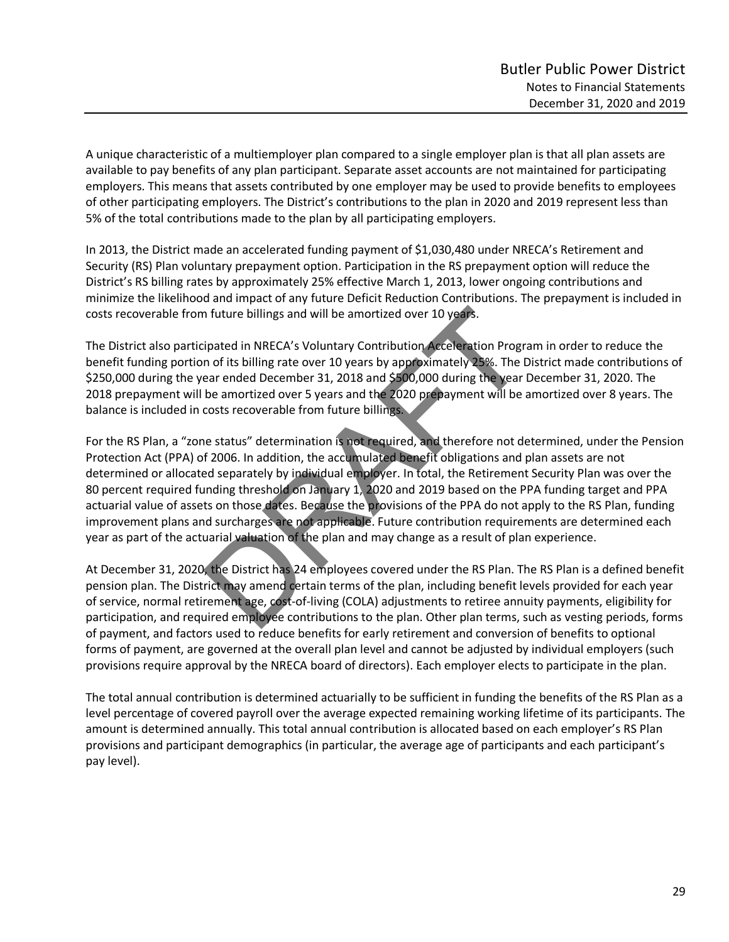A unique characteristic of a multiemployer plan compared to a single employer plan is that all plan assets are available to pay benefits of any plan participant. Separate asset accounts are not maintained for participating employers. This means that assets contributed by one employer may be used to provide benefits to employees of other participating employers. The District's contributions to the plan in 2020 and 2019 represent less than 5% of the total contributions made to the plan by all participating employers.

In 2013, the District made an accelerated funding payment of \$1,030,480 under NRECA's Retirement and Security (RS) Plan voluntary prepayment option. Participation in the RS prepayment option will reduce the District's RS billing rates by approximately 25% effective March 1, 2013, lower ongoing contributions and minimize the likelihood and impact of any future Deficit Reduction Contributions. The prepayment is included in costs recoverable from future billings and will be amortized over 10 years.

The District also participated in NRECA's Voluntary Contribution Acceleration Program in order to reduce the benefit funding portion of its billing rate over 10 years by approximately 25%. The District made contributions of \$250,000 during the year ended December 31, 2018 and \$500,000 during the year December 31, 2020. The 2018 prepayment will be amortized over 5 years and the 2020 prepayment will be amortized over 8 years. The balance is included in costs recoverable from future billings.

For the RS Plan, a "zone status" determination is not required, and therefore not determined, under the Pension Protection Act (PPA) of 2006. In addition, the accumulated benefit obligations and plan assets are not determined or allocated separately by individual employer. In total, the Retirement Security Plan was over the 80 percent required funding threshold on January 1, 2020 and 2019 based on the PPA funding target and PPA actuarial value of assets on those dates. Because the provisions of the PPA do not apply to the RS Plan, funding improvement plans and surcharges are not applicable. Future contribution requirements are determined each year as part of the actuarial valuation of the plan and may change as a result of plan experience. n future billings and will be amortized over 10 years.<br>
sipated in NRECA's Voluntary Contribution Acceleration Progr<br>
n of its billing rate over 10 years by approximately 25%. The I<br>
ear ended December 31, 2018 and \$500,00

At December 31, 2020, the District has 24 employees covered under the RS Plan. The RS Plan is a defined benefit pension plan. The District may amend certain terms of the plan, including benefit levels provided for each year of service, normal retirement age, cost-of-living (COLA) adjustments to retiree annuity payments, eligibility for participation, and required employee contributions to the plan. Other plan terms, such as vesting periods, forms of payment, and factors used to reduce benefits for early retirement and conversion of benefits to optional forms of payment, are governed at the overall plan level and cannot be adjusted by individual employers (such provisions require approval by the NRECA board of directors). Each employer elects to participate in the plan.

The total annual contribution is determined actuarially to be sufficient in funding the benefits of the RS Plan as a level percentage of covered payroll over the average expected remaining working lifetime of its participants. The amount is determined annually. This total annual contribution is allocated based on each employer's RS Plan provisions and participant demographics (in particular, the average age of participants and each participant's pay level).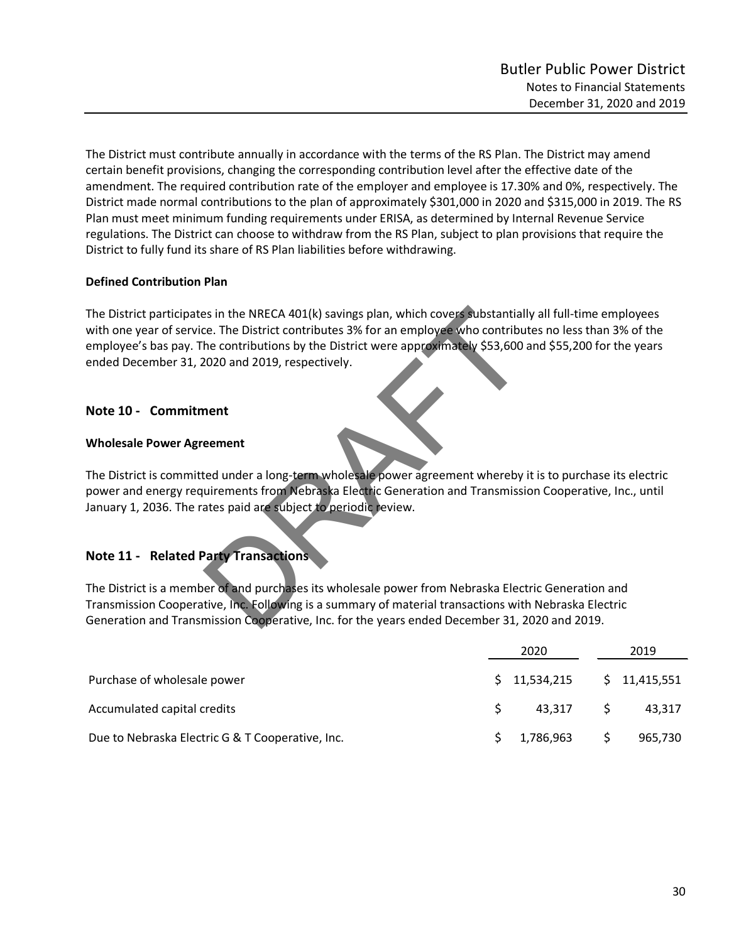The District must contribute annually in accordance with the terms of the RS Plan. The District may amend certain benefit provisions, changing the corresponding contribution level after the effective date of the amendment. The required contribution rate of the employer and employee is 17.30% and 0%, respectively. The District made normal contributions to the plan of approximately \$301,000 in 2020 and \$315,000 in 2019. The RS Plan must meet minimum funding requirements under ERISA, as determined by Internal Revenue Service regulations. The District can choose to withdraw from the RS Plan, subject to plan provisions that require the District to fully fund its share of RS Plan liabilities before withdrawing.

## **Defined Contribution Plan**

The District participates in the NRECA 401(k) savings plan, which covers substantially all full-time employees with one year of service. The District contributes 3% for an employee who contributes no less than 3% of the employee's bas pay. The contributions by the District were approximately \$53,600 and \$55,200 for the years ended December 31, 2020 and 2019, respectively. In the NRECA 401(k) savings plan, which covers substantial<br>the contributions by the District were approximately \$53,600<br>2020 and 2019, respectively.<br>2020 and 2019, respectively.<br>**nent**<br>ted under a long-term wholesale power

## **Note 10 - Commitment**

## **Wholesale Power Agreement**

The District is committed under a long-term wholesale power agreement whereby it is to purchase its electric power and energy requirements from Nebraska Electric Generation and Transmission Cooperative, Inc., until January 1, 2036. The rates paid are subject to periodic review.

# **Note 11 - Related Party Transactions**

The District is a member of and purchases its wholesale power from Nebraska Electric Generation and Transmission Cooperative, Inc. Following is a summary of material transactions with Nebraska Electric Generation and Transmission Cooperative, Inc. for the years ended December 31, 2020 and 2019.

|                                                  | 2020         |   | 2019         |
|--------------------------------------------------|--------------|---|--------------|
| Purchase of wholesale power                      | \$11,534,215 |   | \$11,415,551 |
| Accumulated capital credits                      | 43,317       |   | 43,317       |
| Due to Nebraska Electric G & T Cooperative, Inc. | \$1,786,963  | S | 965,730      |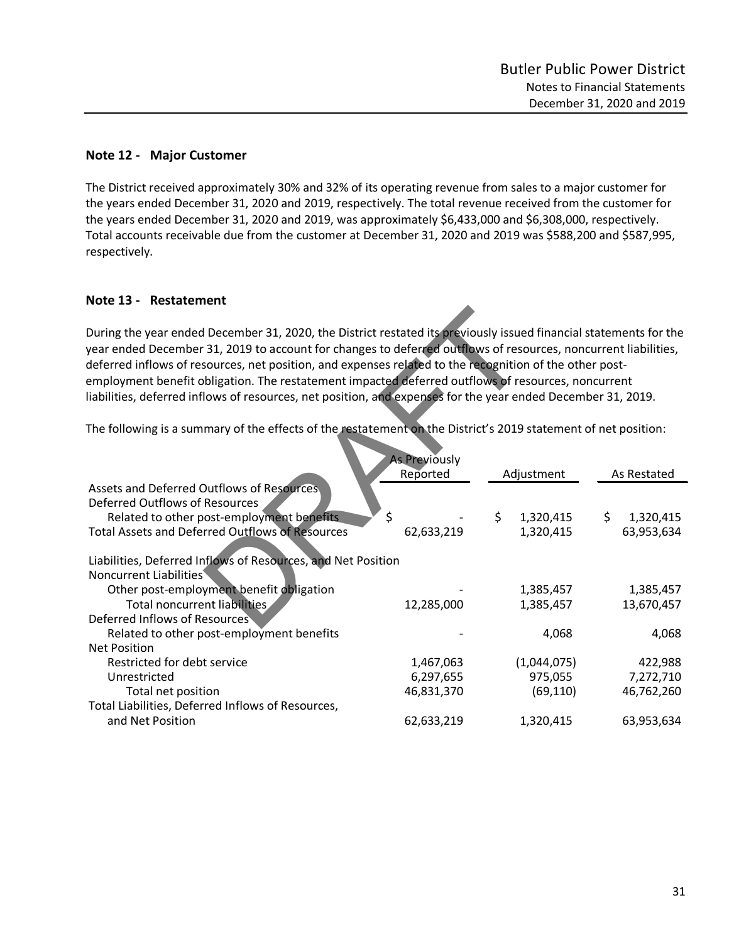## **Note 12 - Major Customer**

The District received approximately 30% and 32% of its operating revenue from sales to a major customer for the years ended December 31, 2020 and 2019, respectively. The total revenue received from the customer for the years ended December 31, 2020 and 2019, was approximately \$6,433,000 and \$6,308,000, respectively. Total accounts receivable due from the customer at December 31, 2020 and 2019 was \$588,200 and \$587,995, respectively.

## **Note 13 - Restatement**

| During the year ended December 31, 2020, the District restated its previously issued financial statements for the<br>year ended December 31, 2019 to account for changes to deferred outflows of resources, noncurrent liabilities,<br>deferred inflows of resources, net position, and expenses related to the recognition of the other post-<br>employment benefit obligation. The restatement impacted deferred outflows of resources, noncurrent<br>liabilities, deferred inflows of resources, net position, and expenses for the year ended December 31, 2019. |                      |                              |     |                         |
|----------------------------------------------------------------------------------------------------------------------------------------------------------------------------------------------------------------------------------------------------------------------------------------------------------------------------------------------------------------------------------------------------------------------------------------------------------------------------------------------------------------------------------------------------------------------|----------------------|------------------------------|-----|-------------------------|
| The following is a summary of the effects of the restatement on the District's 2019 statement of net position:                                                                                                                                                                                                                                                                                                                                                                                                                                                       | <b>As Previously</b> |                              |     |                         |
|                                                                                                                                                                                                                                                                                                                                                                                                                                                                                                                                                                      | Reported             | Adjustment                   |     | As Restated             |
| Assets and Deferred Outflows of Resources<br><b>Deferred Outflows of Resources</b><br>Related to other post-employment benefits<br><b>Total Assets and Deferred Outflows of Resources</b><br>Liabilities, Deferred Inflows of Resources, and Net Position<br>Noncurrent Liabilities                                                                                                                                                                                                                                                                                  | \$<br>62,633,219     | \$<br>1,320,415<br>1,320,415 | \$. | 1,320,415<br>63,953,634 |
| Other post-employment benefit obligation                                                                                                                                                                                                                                                                                                                                                                                                                                                                                                                             |                      | 1,385,457                    |     | 1,385,457               |
| Total noncurrent liabilities                                                                                                                                                                                                                                                                                                                                                                                                                                                                                                                                         | 12,285,000           | 1,385,457                    |     | 13,670,457              |
| Deferred Inflows of Resources                                                                                                                                                                                                                                                                                                                                                                                                                                                                                                                                        |                      |                              |     |                         |
| Related to other post-employment benefits                                                                                                                                                                                                                                                                                                                                                                                                                                                                                                                            |                      | 4,068                        |     | 4,068                   |
| <b>Net Position</b>                                                                                                                                                                                                                                                                                                                                                                                                                                                                                                                                                  |                      |                              |     |                         |
| Restricted for debt service                                                                                                                                                                                                                                                                                                                                                                                                                                                                                                                                          | 1,467,063            | (1,044,075)                  |     | 422,988                 |
| Unrestricted                                                                                                                                                                                                                                                                                                                                                                                                                                                                                                                                                         | 6,297,655            | 975,055                      |     | 7,272,710               |
| Total net position                                                                                                                                                                                                                                                                                                                                                                                                                                                                                                                                                   | 46,831,370           | (69, 110)                    |     | 46,762,260              |
| Total Liabilities, Deferred Inflows of Resources,                                                                                                                                                                                                                                                                                                                                                                                                                                                                                                                    |                      |                              |     |                         |
| and Net Position                                                                                                                                                                                                                                                                                                                                                                                                                                                                                                                                                     | 62,633,219           | 1,320,415                    |     | 63,953,634              |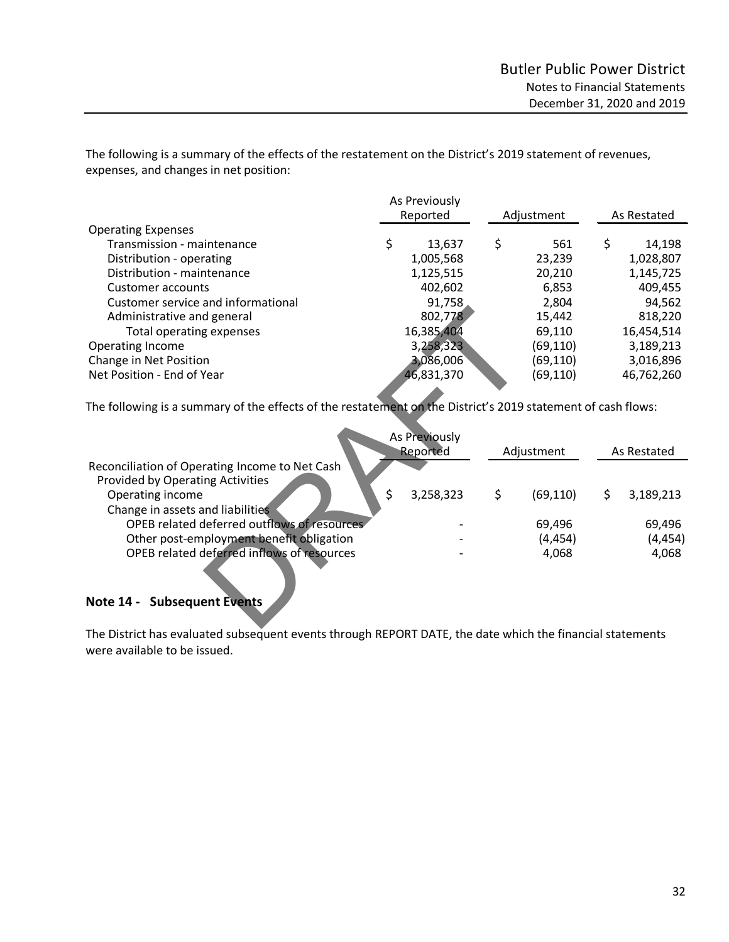The following is a summary of the effects of the restatement on the District's 2019 statement of revenues, expenses, and changes in net position:

|                                    | As Previously<br>Reported |            |    | Adjustment | As Restated  |
|------------------------------------|---------------------------|------------|----|------------|--------------|
| <b>Operating Expenses</b>          |                           |            |    |            |              |
| Transmission - maintenance         | \$                        | 13,637     | \$ | 561        | \$<br>14,198 |
| Distribution - operating           |                           | 1,005,568  |    | 23,239     | 1,028,807    |
| Distribution - maintenance         |                           | 1,125,515  |    | 20,210     | 1,145,725    |
| Customer accounts                  |                           | 402,602    |    | 6,853      | 409,455      |
| Customer service and informational |                           | 91,758     |    | 2,804      | 94,562       |
| Administrative and general         |                           | 802,778    |    | 15,442     | 818,220      |
| Total operating expenses           |                           | 16,385,404 |    | 69,110     | 16,454,514   |
| Operating Income                   |                           | 3,258,323  |    | (69, 110)  | 3,189,213    |
| Change in Net Position             |                           | 3,086,006  |    | (69, 110)  | 3,016,896    |
| Net Position - End of Year         |                           | 46,831,370 |    | (69, 110)  | 46,762,260   |

|                                                                                                              |               | --, . - -  |                 |     |             |
|--------------------------------------------------------------------------------------------------------------|---------------|------------|-----------------|-----|-------------|
| Administrative and general                                                                                   |               | 802,778    | 15,442          |     | 818,220     |
| Total operating expenses                                                                                     |               | 16,385,404 | 69,110          |     | 16,454,514  |
| Operating Income                                                                                             |               | 3,258,323  | (69,110)        |     | 3,189,213   |
| Change in Net Position                                                                                       |               | 3,086,006  | (69,110)        |     | 3,016,896   |
| Net Position - End of Year                                                                                   |               | 46,831,370 | (69,110)        |     | 46,762,260  |
|                                                                                                              |               |            |                 |     |             |
| The following is a summary of the effects of the restatement on the District's 2019 statement of cash flows: |               |            |                 |     |             |
|                                                                                                              |               |            |                 |     |             |
|                                                                                                              | As Previously |            |                 |     |             |
|                                                                                                              | Reported      |            | Adjustment      |     | As Restated |
| Reconciliation of Operating Income to Net Cash                                                               |               |            |                 |     |             |
| Provided by Operating Activities                                                                             |               |            |                 |     |             |
| Operating income                                                                                             | \$            | 3,258,323  | \$<br>(69, 110) | \$. | 3,189,213   |
| Change in assets and liabilities                                                                             |               |            |                 |     |             |
| OPEB related deferred outflows of resources                                                                  |               |            | 69,496          |     | 69,496      |
| Other post-employment benefit obligation                                                                     |               |            | (4, 454)        |     | (4, 454)    |
| OPEB related deferred inflows of resources                                                                   |               |            | 4,068           |     | 4,068       |
|                                                                                                              |               |            |                 |     |             |
|                                                                                                              |               |            |                 |     |             |
| Note 14 - Subsequent Events                                                                                  |               |            |                 |     |             |
|                                                                                                              |               |            |                 |     |             |
|                                                                                                              |               |            |                 |     |             |

# **Note 14 - Subsequent Events**

The District has evaluated subsequent events through REPORT DATE, the date which the financial statements were available to be issued.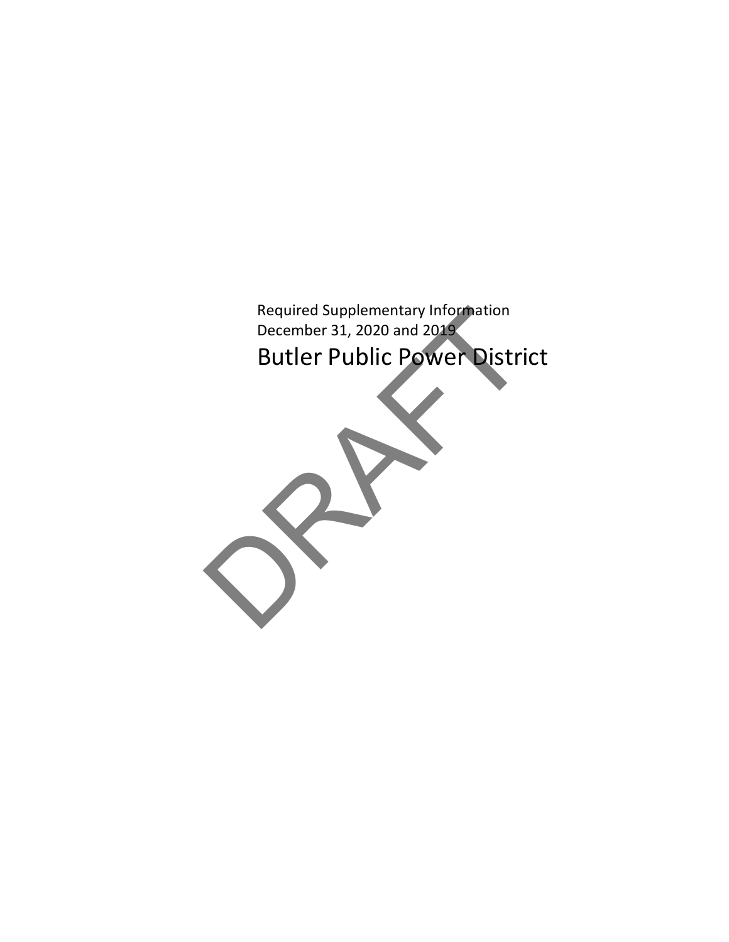

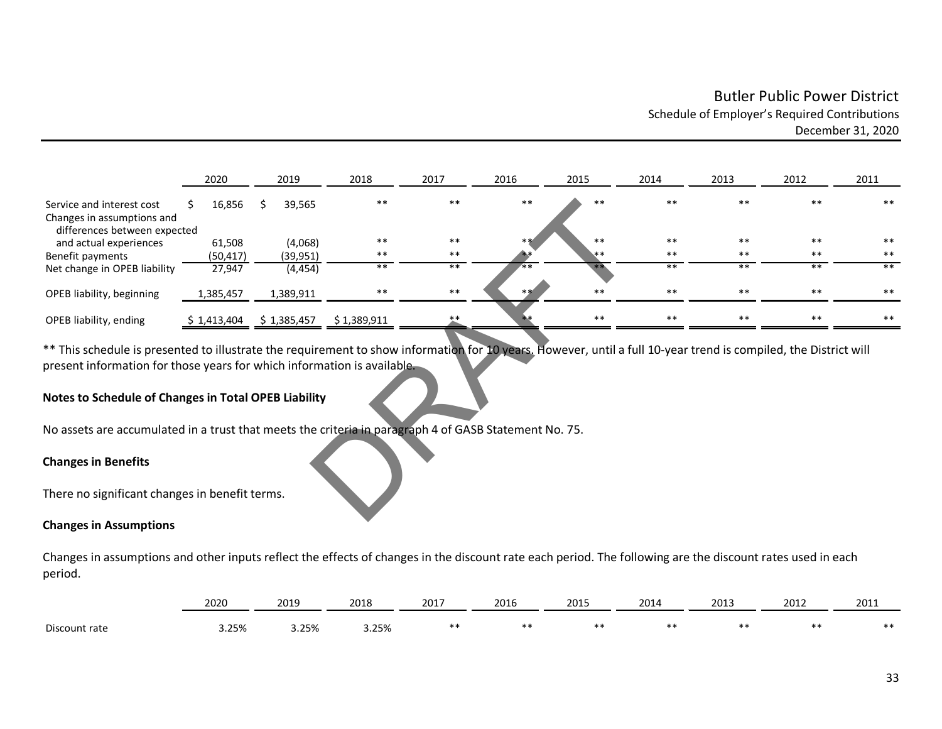# Butler Public Power District Schedule of Employer's Required Contributions December 31, 2020

|                                                                                                                                                                                                                                                                                                            | 2020         | 2019        | 2018        | 2017  | 2016 | 2015  | 2014  | 2013  | 2012  | 2011  |
|------------------------------------------------------------------------------------------------------------------------------------------------------------------------------------------------------------------------------------------------------------------------------------------------------------|--------------|-------------|-------------|-------|------|-------|-------|-------|-------|-------|
| Service and interest cost<br>Changes in assumptions and                                                                                                                                                                                                                                                    | 16,856<br>S. | 39,565      | $**$        | $***$ | **   | $**$  | $* *$ | $* *$ | $**$  | $***$ |
| differences between expected                                                                                                                                                                                                                                                                               |              |             |             |       |      |       |       |       |       |       |
| and actual experiences                                                                                                                                                                                                                                                                                     | 61,508       | (4,068)     | $* *$       | $**$  |      | $**$  | $***$ | $***$ | $***$ | $**$  |
| Benefit payments                                                                                                                                                                                                                                                                                           | (50, 417)    | (39, 951)   | **          | $***$ |      | **    | **    | **    | $**$  | **    |
| Net change in OPEB liability                                                                                                                                                                                                                                                                               | 27,947       | (4, 454)    | $***$       | $***$ |      |       | $***$ | $**$  | $***$ | $***$ |
| OPEB liability, beginning                                                                                                                                                                                                                                                                                  | 1,385,457    | 1,389,911   | $***$       | $***$ |      | $* *$ | $***$ | $***$ | $***$ | $***$ |
| OPEB liability, ending                                                                                                                                                                                                                                                                                     | \$1,413,404  | \$1,385,457 | \$1,389,911 |       |      | $**$  |       |       | **    | **    |
| ** This schedule is presented to illustrate the requirement to show information for 10 years. However, until a full 10-year trend is compiled, the District will<br>present information for those years for which information is available.<br><b>Notes to Schedule of Changes in Total OPEB Liability</b> |              |             |             |       |      |       |       |       |       |       |
| No assets are accumulated in a trust that meets the criteria in paragraph 4 of GASB Statement No. 75.                                                                                                                                                                                                      |              |             |             |       |      |       |       |       |       |       |
| <b>Changes in Benefits</b>                                                                                                                                                                                                                                                                                 |              |             |             |       |      |       |       |       |       |       |
| There no significant changes in benefit terms.                                                                                                                                                                                                                                                             |              |             |             |       |      |       |       |       |       |       |
|                                                                                                                                                                                                                                                                                                            |              |             |             |       |      |       |       |       |       |       |

## **Notes to Schedule of Changes in Total OPEB Liability**

#### **Changes in Benefits**

#### **Changes in Assumptions**

Changes in assumptions and other inputs reflect the effects of changes in the discount rate each period. The following are the discount rates used in each period.

|           | 2020                      | 2019 | 2018           | 2017<br>201 | 2016 | 2015 | 2014 | 2013 | 2012 | 201<br>∠∪⊥⊥ |
|-----------|---------------------------|------|----------------|-------------|------|------|------|------|------|-------------|
| Discount, | $\Omega$<br>3.ZJ%<br>____ | つちの  | つちのん<br>J. 270 |             |      | $**$ |      |      |      | $***$       |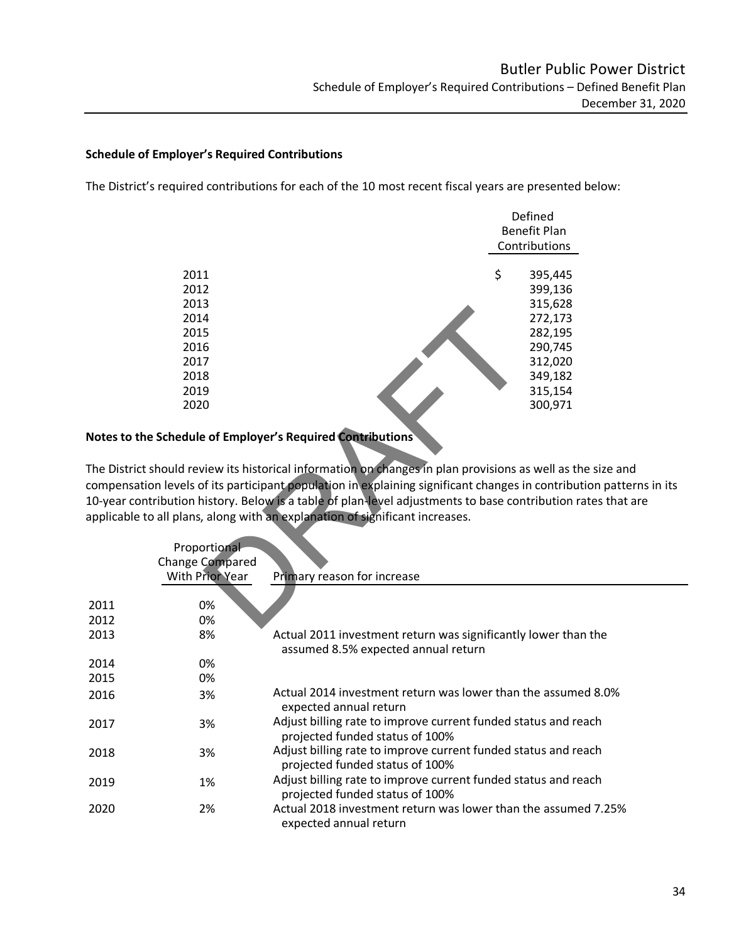### **Schedule of Employer's Required Contributions**

The District's required contributions for each of the 10 most recent fiscal years are presented below:

|                                                                                   | Defined<br><b>Benefit Plan</b> |
|-----------------------------------------------------------------------------------|--------------------------------|
|                                                                                   | Contributions                  |
| 2011                                                                              | \$<br>395,445                  |
| 2012                                                                              | 399,136                        |
| 2013                                                                              | 315,628                        |
| 2014                                                                              | 272,173                        |
| 2015                                                                              | 282,195                        |
| 2016                                                                              | 290,745                        |
| 2017                                                                              | 312,020                        |
| 2018                                                                              | 349,182                        |
| 2019                                                                              | 315,154                        |
| 2020                                                                              | 300,971                        |
| hedule of Employer's Required Contributions                                       |                                |
| uld review its historical information on changes in plan provisions as well as tl |                                |
| evels of its participant population in explaining significant changes in contribu |                                |
|                                                                                   |                                |
| ution history. Below is a table of plan-level adjustments to base contribution r  |                                |
| plans, along with an explanation of significant increases.                        |                                |
| Proportional                                                                      |                                |
| ange Compared                                                                     |                                |
| <b>With Prior Year</b><br>Primary reason for increase                             |                                |
|                                                                                   |                                |
| 0%                                                                                |                                |
| 0%                                                                                |                                |
|                                                                                   |                                |

## **Notes to the Schedule of Employer's Required Contributions**

The District should review its historical information on changes in plan provisions as well as the size and compensation levels of its participant population in explaining significant changes in contribution patterns in its 10-year contribution history. Below is a table of plan-level adjustments to base contribution rates that are applicable to all plans, along with an explanation of significant increases.

|      | Proportional<br><b>Change Compared</b><br>With Prior Year | Primary reason for increase                                                                       |
|------|-----------------------------------------------------------|---------------------------------------------------------------------------------------------------|
|      |                                                           |                                                                                                   |
| 2011 | 0%                                                        |                                                                                                   |
| 2012 | 0%                                                        |                                                                                                   |
| 2013 | 8%                                                        | Actual 2011 investment return was significantly lower than the                                    |
|      |                                                           | assumed 8.5% expected annual return                                                               |
| 2014 | 0%                                                        |                                                                                                   |
| 2015 | 0%                                                        |                                                                                                   |
| 2016 | 3%                                                        | Actual 2014 investment return was lower than the assumed 8.0%<br>expected annual return           |
| 2017 | 3%                                                        | Adjust billing rate to improve current funded status and reach<br>projected funded status of 100% |
| 2018 | 3%                                                        | Adjust billing rate to improve current funded status and reach<br>projected funded status of 100% |
| 2019 | 1%                                                        | Adjust billing rate to improve current funded status and reach<br>projected funded status of 100% |
| 2020 | 2%                                                        | Actual 2018 investment return was lower than the assumed 7.25%<br>expected annual return          |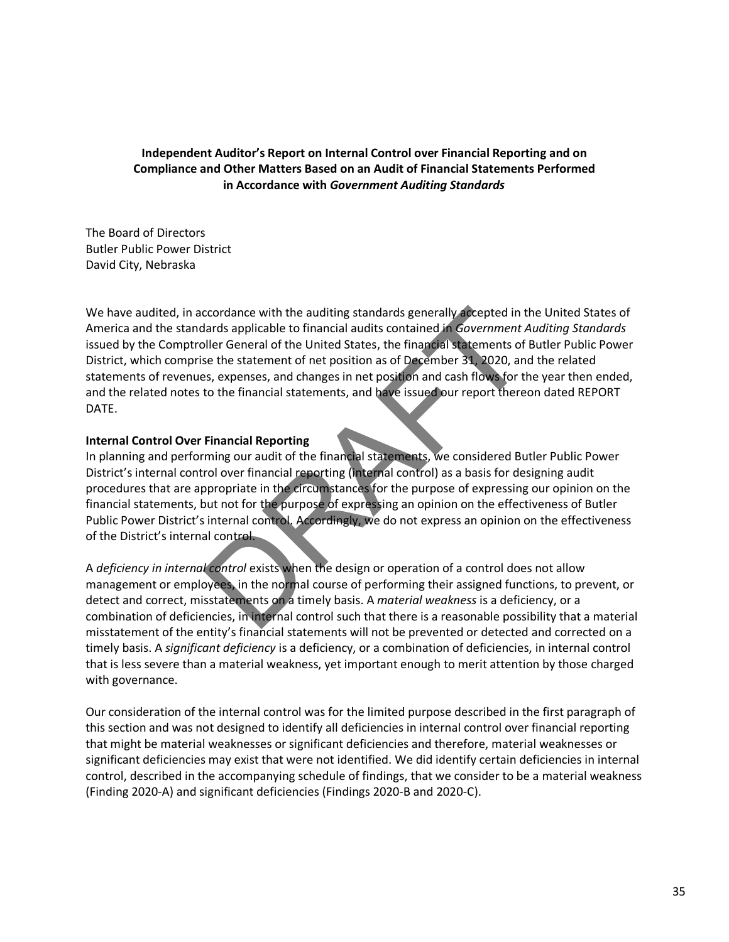## **Independent Auditor's Report on Internal Control over Financial Reporting and on Compliance and Other Matters Based on an Audit of Financial Statements Performed in Accordance with** *Government Auditing Standards*

The Board of Directors Butler Public Power District David City, Nebraska

We have audited, in accordance with the auditing standards generally accepted in the United States of America and the standards applicable to financial audits contained in *Government Auditing Standards* issued by the Comptroller General of the United States, the financial statements of Butler Public Power District, which comprise the statement of net position as of December 31, 2020, and the related statements of revenues, expenses, and changes in net position and cash flows for the year then ended, and the related notes to the financial statements, and have issued our report thereon dated REPORT DATE. coordance with the auditing standards generally accepted in thands applicable to financial audits contained in Government Aller General of the United States, the financial statements of see the statement of net position as

## **Internal Control Over Financial Reporting**

In planning and performing our audit of the financial statements, we considered Butler Public Power District's internal control over financial reporting (internal control) as a basis for designing audit procedures that are appropriate in the circumstances for the purpose of expressing our opinion on the financial statements, but not for the purpose of expressing an opinion on the effectiveness of Butler Public Power District's internal control. Accordingly, we do not express an opinion on the effectiveness of the District's internal control.

A *deficiency in internal control* exists when the design or operation of a control does not allow management or employees, in the normal course of performing their assigned functions, to prevent, or detect and correct, misstatements on a timely basis. A *material weakness* is a deficiency, or a combination of deficiencies, in internal control such that there is a reasonable possibility that a material misstatement of the entity's financial statements will not be prevented or detected and corrected on a timely basis. A *significant deficiency* is a deficiency, or a combination of deficiencies, in internal control that is less severe than a material weakness, yet important enough to merit attention by those charged with governance.

Our consideration of the internal control was for the limited purpose described in the first paragraph of this section and was not designed to identify all deficiencies in internal control over financial reporting that might be material weaknesses or significant deficiencies and therefore, material weaknesses or significant deficiencies may exist that were not identified. We did identify certain deficiencies in internal control, described in the accompanying schedule of findings, that we consider to be a material weakness (Finding 2020-A) and significant deficiencies (Findings 2020-B and 2020-C).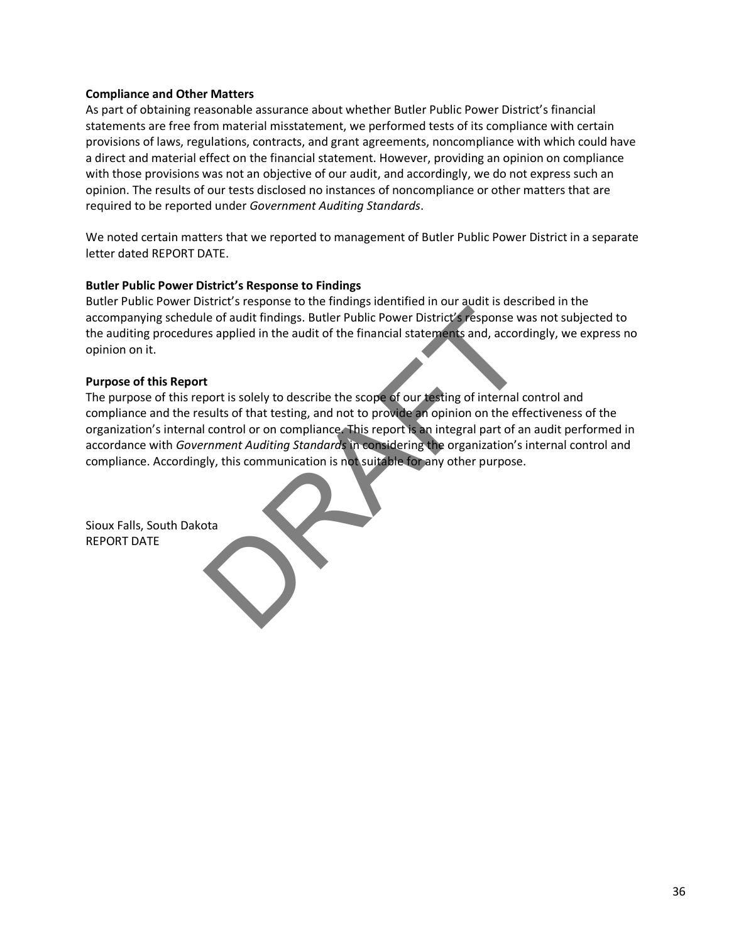### **Compliance and Other Matters**

As part of obtaining reasonable assurance about whether Butler Public Power District's financial statements are free from material misstatement, we performed tests of its compliance with certain provisions of laws, regulations, contracts, and grant agreements, noncompliance with which could have a direct and material effect on the financial statement. However, providing an opinion on compliance with those provisions was not an objective of our audit, and accordingly, we do not express such an opinion. The results of our tests disclosed no instances of noncompliance or other matters that are required to be reported under *Government Auditing Standards*.

We noted certain matters that we reported to management of Butler Public Power District in a separate letter dated REPORT DATE.

#### **Butler Public Power District's Response to Findings**

Butler Public Power District's response to the findings identified in our audit is described in the accompanying schedule of audit findings. Butler Public Power District's response was not subjected to the auditing procedures applied in the audit of the financial statements and, accordingly, we express no opinion on it.

#### **Purpose of this Report**

The purpose of this report is solely to describe the scope of our testing of internal control and compliance and the results of that testing, and not to provide an opinion on the effectiveness of the organization's internal control or on compliance. This report is an integral part of an audit performed in accordance with *Government Auditing Standards* in considering the organization's internal control and compliance. Accordingly, this communication is not suitable for any other purpose. The of and it findings. Butler Public Power District's response with the of audit findings. Butler Public Power District's response with the audit of the financial statements and, accorded to a supplied in the audit of the

Sioux Falls, South Dakota REPORT DATE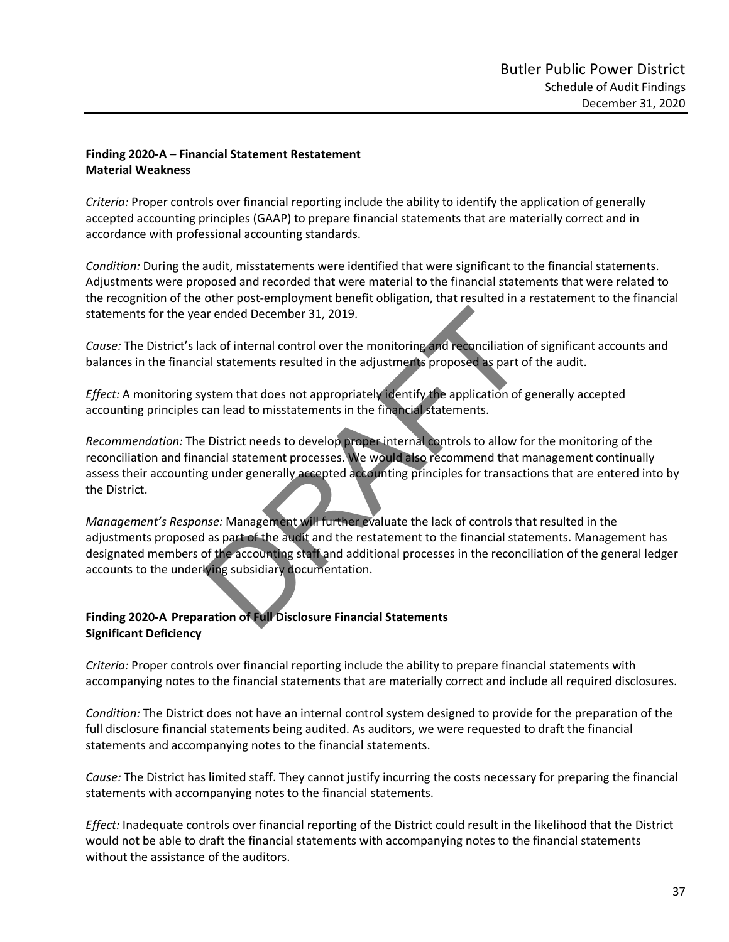## **Finding 2020-A – Financial Statement Restatement Material Weakness**

*Criteria:* Proper controls over financial reporting include the ability to identify the application of generally accepted accounting principles (GAAP) to prepare financial statements that are materially correct and in accordance with professional accounting standards.

*Condition:* During the audit, misstatements were identified that were significant to the financial statements. Adjustments were proposed and recorded that were material to the financial statements that were related to the recognition of the other post-employment benefit obligation, that resulted in a restatement to the financial statements for the year ended December 31, 2019.

*Cause:* The District's lack of internal control over the monitoring and reconciliation of significant accounts and balances in the financial statements resulted in the adjustments proposed as part of the audit.

*Effect:* A monitoring system that does not appropriately identify the application of generally accepted accounting principles can lead to misstatements in the financial statements.

*Recommendation:* The District needs to develop proper internal controls to allow for the monitoring of the reconciliation and financial statement processes. We would also recommend that management continually assess their accounting under generally accepted accounting principles for transactions that are entered into by the District. ar ended December 31, 2019.<br>
Such of internal control over the monitoring and reconciliation<br>
all statements resulted in the adjustments proposed as part of<br>
Such an lead to misstatements in the financial statements.<br>
Dist

*Management's Response:* Management will further evaluate the lack of controls that resulted in the adjustments proposed as part of the audit and the restatement to the financial statements. Management has designated members of the accounting staff and additional processes in the reconciliation of the general ledger accounts to the underlying subsidiary documentation.

## **Finding 2020-A Preparation of Full Disclosure Financial Statements Significant Deficiency**

*Criteria:* Proper controls over financial reporting include the ability to prepare financial statements with accompanying notes to the financial statements that are materially correct and include all required disclosures.

*Condition:* The District does not have an internal control system designed to provide for the preparation of the full disclosure financial statements being audited. As auditors, we were requested to draft the financial statements and accompanying notes to the financial statements.

*Cause:* The District has limited staff. They cannot justify incurring the costs necessary for preparing the financial statements with accompanying notes to the financial statements.

*Effect:* Inadequate controls over financial reporting of the District could result in the likelihood that the District would not be able to draft the financial statements with accompanying notes to the financial statements without the assistance of the auditors.